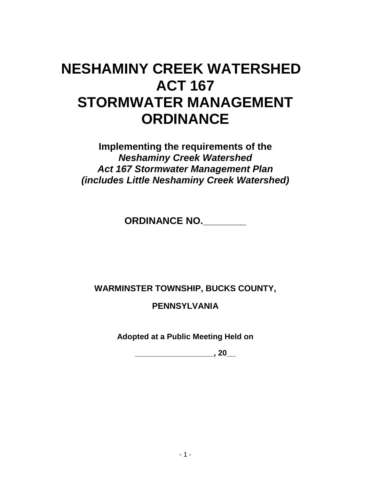# **NESHAMINY CREEK WATERSHED ACT 167 STORMWATER MANAGEMENT ORDINANCE**

**Implementing the requirements of the Neshaminy Creek Watershed Act 167 Stormwater Management Plan (includes Little Neshaminy Creek Watershed)**

**ORDINANCE NO.\_\_\_\_\_\_\_\_** 

# **WARMINSTER TOWNSHIP, BUCKS COUNTY,**

**PENNSYLVANIA** 

**Adopted at a Public Meeting Held on** 

 $\overline{\phantom{a}}$ , 20 $\overline{\phantom{a}}$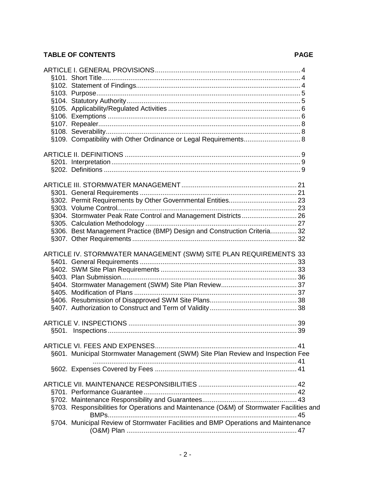## **TABLE OF CONTENTS**

| §109. Compatibility with Other Ordinance or Legal Requirements 8                                                                                                               |  |
|--------------------------------------------------------------------------------------------------------------------------------------------------------------------------------|--|
|                                                                                                                                                                                |  |
|                                                                                                                                                                                |  |
|                                                                                                                                                                                |  |
|                                                                                                                                                                                |  |
|                                                                                                                                                                                |  |
|                                                                                                                                                                                |  |
|                                                                                                                                                                                |  |
|                                                                                                                                                                                |  |
| §304. Stormwater Peak Rate Control and Management Districts 26                                                                                                                 |  |
|                                                                                                                                                                                |  |
| §306. Best Management Practice (BMP) Design and Construction Criteria 32                                                                                                       |  |
|                                                                                                                                                                                |  |
| ARTICLE IV. STORMWATER MANAGEMENT (SWM) SITE PLAN REQUIREMENTS 33                                                                                                              |  |
|                                                                                                                                                                                |  |
|                                                                                                                                                                                |  |
| §601. Municipal Stormwater Management (SWM) Site Plan Review and Inspection Fee                                                                                                |  |
| §703. Responsibilities for Operations and Maintenance (O&M) of Stormwater Facilities and<br>§704. Municipal Review of Stormwater Facilities and BMP Operations and Maintenance |  |

## **PAGE**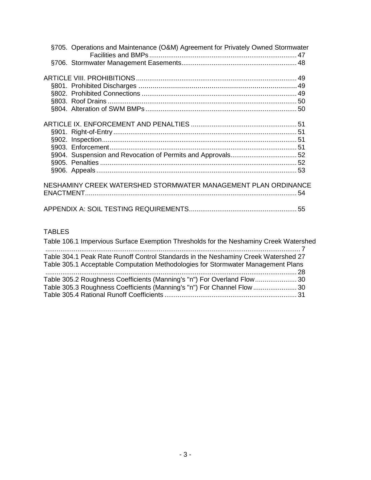| §705. Operations and Maintenance (O&M) Agreement for Privately Owned Stormwater |  |
|---------------------------------------------------------------------------------|--|
|                                                                                 |  |
|                                                                                 |  |
|                                                                                 |  |
|                                                                                 |  |
|                                                                                 |  |
|                                                                                 |  |
|                                                                                 |  |
|                                                                                 |  |
|                                                                                 |  |
|                                                                                 |  |
|                                                                                 |  |
|                                                                                 |  |
| NESHAMINY CREEK WATERSHED STORMWATER MANAGEMENT PLAN ORDINANCE                  |  |
|                                                                                 |  |

## TABLES

| Table 106.1 Impervious Surface Exemption Thresholds for the Neshaminy Creek Watershed |  |
|---------------------------------------------------------------------------------------|--|
|                                                                                       |  |
| Table 304.1 Peak Rate Runoff Control Standards in the Neshaminy Creek Watershed 27    |  |
| Table 305.1 Acceptable Computation Methodologies for Stormwater Management Plans      |  |
| .                                                                                     |  |
| Table 305.2 Roughness Coefficients (Manning's "n") For Overland Flow 30               |  |
| Table 305.3 Roughness Coefficients (Manning's "n") For Channel Flow  30               |  |
|                                                                                       |  |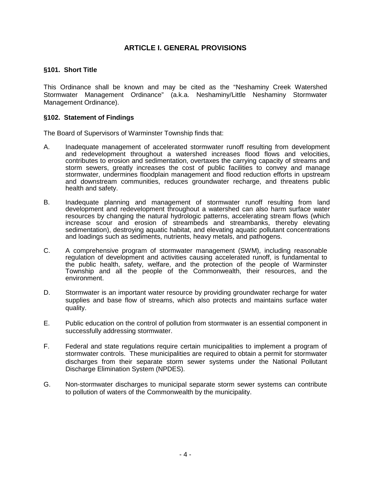### **ARTICLE I. GENERAL PROVISIONS**

#### **§101. Short Title**

This Ordinance shall be known and may be cited as the "Neshaminy Creek Watershed Stormwater Management Ordinance" (a.k.a. Neshaminy/Little Neshaminy Stormwater Management Ordinance).

#### **§102. Statement of Findings**

The Board of Supervisors of Warminster Township finds that:

- A. Inadequate management of accelerated stormwater runoff resulting from development and redevelopment throughout a watershed increases flood flows and velocities, contributes to erosion and sedimentation, overtaxes the carrying capacity of streams and storm sewers, greatly increases the cost of public facilities to convey and manage stormwater, undermines floodplain management and flood reduction efforts in upstream and downstream communities, reduces groundwater recharge, and threatens public health and safety.
- B. Inadequate planning and management of stormwater runoff resulting from land development and redevelopment throughout a watershed can also harm surface water resources by changing the natural hydrologic patterns, accelerating stream flows (which increase scour and erosion of streambeds and streambanks, thereby elevating sedimentation), destroying aquatic habitat, and elevating aquatic pollutant concentrations and loadings such as sediments, nutrients, heavy metals, and pathogens.
- C. A comprehensive program of stormwater management (SWM), including reasonable regulation of development and activities causing accelerated runoff, is fundamental to the public health, safety, welfare, and the protection of the people of Warminster Township and all the people of the Commonwealth, their resources, and the environment.
- D. Stormwater is an important water resource by providing groundwater recharge for water supplies and base flow of streams, which also protects and maintains surface water quality.
- E. Public education on the control of pollution from stormwater is an essential component in successfully addressing stormwater.
- F. Federal and state regulations require certain municipalities to implement a program of stormwater controls. These municipalities are required to obtain a permit for stormwater discharges from their separate storm sewer systems under the National Pollutant Discharge Elimination System (NPDES).
- G. Non-stormwater discharges to municipal separate storm sewer systems can contribute to pollution of waters of the Commonwealth by the municipality.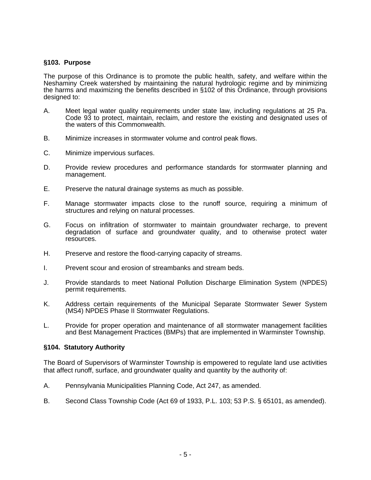#### **§103. Purpose**

The purpose of this Ordinance is to promote the public health, safety, and welfare within the Neshaminy Creek watershed by maintaining the natural hydrologic regime and by minimizing the harms and maximizing the benefits described in §102 of this Ordinance, through provisions designed to:

- A. Meet legal water quality requirements under state law, including regulations at 25 Pa. Code 93 to protect, maintain, reclaim, and restore the existing and designated uses of the waters of this Commonwealth.
- B. Minimize increases in stormwater volume and control peak flows.
- C. Minimize impervious surfaces.
- D. Provide review procedures and performance standards for stormwater planning and management.
- E. Preserve the natural drainage systems as much as possible.
- F. Manage stormwater impacts close to the runoff source, requiring a minimum of structures and relying on natural processes.
- G. Focus on infiltration of stormwater to maintain groundwater recharge, to prevent degradation of surface and groundwater quality, and to otherwise protect water resources.
- H. Preserve and restore the flood-carrying capacity of streams.
- I. Prevent scour and erosion of streambanks and stream beds.
- J. Provide standards to meet National Pollution Discharge Elimination System (NPDES) permit requirements.
- K. Address certain requirements of the Municipal Separate Stormwater Sewer System (MS4) NPDES Phase II Stormwater Regulations.
- L. Provide for proper operation and maintenance of all stormwater management facilities and Best Management Practices (BMPs) that are implemented in Warminster Township.

#### **§104. Statutory Authority**

The Board of Supervisors of Warminster Township is empowered to regulate land use activities that affect runoff, surface, and groundwater quality and quantity by the authority of:

- A. Pennsylvania Municipalities Planning Code, Act 247, as amended.
- B. Second Class Township Code (Act 69 of 1933, P.L. 103; 53 P.S. § 65101, as amended).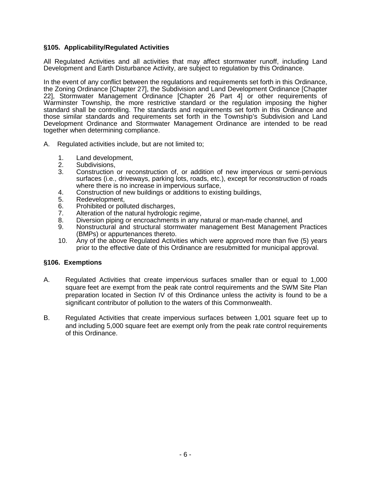#### **§105. Applicability/Regulated Activities**

All Regulated Activities and all activities that may affect stormwater runoff, including Land Development and Earth Disturbance Activity, are subject to regulation by this Ordinance.

In the event of any conflict between the regulations and requirements set forth in this Ordinance, the Zoning Ordinance [Chapter 27], the Subdivision and Land Development Ordinance [Chapter 22], Stormwater Management Ordinance [Chapter 26 Part 4] or other requirements of Warminster Township, the more restrictive standard or the regulation imposing the higher standard shall be controlling. The standards and requirements set forth in this Ordinance and those similar standards and requirements set forth in the Township's Subdivision and Land Development Ordinance and Stormwater Management Ordinance are intended to be read together when determining compliance.

- A. Regulated activities include, but are not limited to;
	- 1. Land development,
	- 2. Subdivisions,
	- 3. Construction or reconstruction of, or addition of new impervious or semi-pervious surfaces (i.e., driveways, parking lots, roads, etc.), except for reconstruction of roads where there is no increase in impervious surface,
	- 4. Construction of new buildings or additions to existing buildings,
	- 5. Redevelopment,
	- 6. Prohibited or polluted discharges,
	- 7. Alteration of the natural hydrologic regime,<br>8. Diversion piping or encroachments in any r
	- 8. Diversion piping or encroachments in any natural or man-made channel, and
	- 9. Nonstructural and structural stormwater management Best Management Practices (BMPs) or appurtenances thereto.
	- 10. Any of the above Regulated Activities which were approved more than five (5) years prior to the effective date of this Ordinance are resubmitted for municipal approval.

#### **§106. Exemptions**

- A. Regulated Activities that create impervious surfaces smaller than or equal to 1,000 square feet are exempt from the peak rate control requirements and the SWM Site Plan preparation located in Section IV of this Ordinance unless the activity is found to be a significant contributor of pollution to the waters of this Commonwealth.
- B. Regulated Activities that create impervious surfaces between 1,001 square feet up to and including 5,000 square feet are exempt only from the peak rate control requirements of this Ordinance.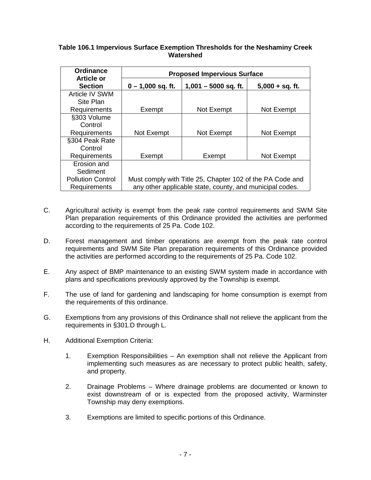#### **Table 106.1 Impervious Surface Exemption Thresholds for the Neshaminy Creek Watershed**

| <b>Ordinance</b><br>Article or |                     | <b>Proposed Impervious Surface</b>                        |                   |
|--------------------------------|---------------------|-----------------------------------------------------------|-------------------|
| <b>Section</b>                 | $0 - 1,000$ sq. ft. | $1,001 - 5000$ sq. ft.                                    | $5,000 + sq.$ ft. |
| Article IV SWM                 |                     |                                                           |                   |
| Site Plan                      |                     |                                                           |                   |
| Requirements                   | Exempt              | Not Exempt                                                | Not Exempt        |
| §303 Volume                    |                     |                                                           |                   |
| Control                        |                     |                                                           |                   |
| Requirements                   | Not Exempt          | Not Exempt                                                | Not Exempt        |
| §304 Peak Rate                 |                     |                                                           |                   |
| Control                        |                     |                                                           |                   |
| Requirements                   | Exempt              | Exempt                                                    | Not Exempt        |
| Erosion and                    |                     |                                                           |                   |
| Sediment                       |                     |                                                           |                   |
| <b>Pollution Control</b>       |                     | Must comply with Title 25, Chapter 102 of the PA Code and |                   |
| Requirements                   |                     | any other applicable state, county, and municipal codes.  |                   |

- C. Agricultural activity is exempt from the peak rate control requirements and SWM Site Plan preparation requirements of this Ordinance provided the activities are performed according to the requirements of 25 Pa. Code 102.
- D. Forest management and timber operations are exempt from the peak rate control requirements and SWM Site Plan preparation requirements of this Ordinance provided the activities are performed according to the requirements of 25 Pa. Code 102.
- E. Any aspect of BMP maintenance to an existing SWM system made in accordance with plans and specifications previously approved by the Township is exempt.
- F. The use of land for gardening and landscaping for home consumption is exempt from the requirements of this ordinance.
- G. Exemptions from any provisions of this Ordinance shall not relieve the applicant from the requirements in §301.D through L.
- H. Additional Exemption Criteria:
	- 1. Exemption Responsibilities An exemption shall not relieve the Applicant from implementing such measures as are necessary to protect public health, safety, and property.
	- 2. Drainage Problems Where drainage problems are documented or known to exist downstream of or is expected from the proposed activity, Warminster Township may deny exemptions.
	- 3. Exemptions are limited to specific portions of this Ordinance.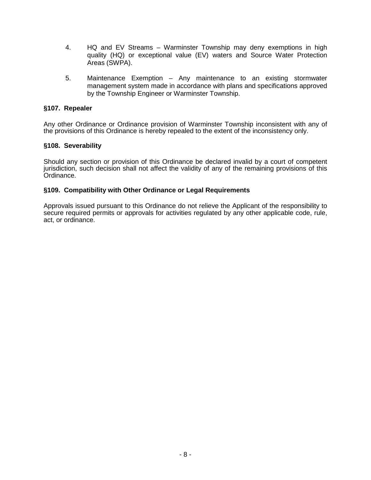- 4. HQ and EV Streams Warminster Township may deny exemptions in high quality (HQ) or exceptional value (EV) waters and Source Water Protection Areas (SWPA).
- 5. Maintenance Exemption Any maintenance to an existing stormwater management system made in accordance with plans and specifications approved by the Township Engineer or Warminster Township.

#### **§107. Repealer**

Any other Ordinance or Ordinance provision of Warminster Township inconsistent with any of the provisions of this Ordinance is hereby repealed to the extent of the inconsistency only.

#### **§108. Severability**

Should any section or provision of this Ordinance be declared invalid by a court of competent jurisdiction, such decision shall not affect the validity of any of the remaining provisions of this Ordinance.

#### **§109. Compatibility with Other Ordinance or Legal Requirements**

Approvals issued pursuant to this Ordinance do not relieve the Applicant of the responsibility to secure required permits or approvals for activities regulated by any other applicable code, rule, act, or ordinance.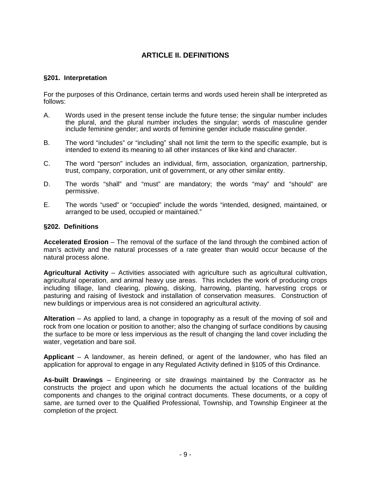## **ARTICLE II. DEFINITIONS**

#### **§201. Interpretation**

For the purposes of this Ordinance, certain terms and words used herein shall be interpreted as follows:

- A. Words used in the present tense include the future tense; the singular number includes the plural, and the plural number includes the singular; words of masculine gender include feminine gender; and words of feminine gender include masculine gender.
- B. The word "includes" or "including" shall not limit the term to the specific example, but is intended to extend its meaning to all other instances of like kind and character.
- C. The word "person" includes an individual, firm, association, organization, partnership, trust, company, corporation, unit of government, or any other similar entity.
- D. The words "shall" and "must" are mandatory; the words "may" and "should" are permissive.
- E. The words "used" or "occupied" include the words "intended, designed, maintained, or arranged to be used, occupied or maintained."

#### **§202. Definitions**

**Accelerated Erosion** – The removal of the surface of the land through the combined action of man's activity and the natural processes of a rate greater than would occur because of the natural process alone.

**Agricultural Activity** – Activities associated with agriculture such as agricultural cultivation, agricultural operation, and animal heavy use areas. This includes the work of producing crops including tillage, land clearing, plowing, disking, harrowing, planting, harvesting crops or pasturing and raising of livestock and installation of conservation measures. Construction of new buildings or impervious area is not considered an agricultural activity.

**Alteration** – As applied to land, a change in topography as a result of the moving of soil and rock from one location or position to another; also the changing of surface conditions by causing the surface to be more or less impervious as the result of changing the land cover including the water, vegetation and bare soil.

**Applicant** – A landowner, as herein defined, or agent of the landowner, who has filed an application for approval to engage in any Regulated Activity defined in §105 of this Ordinance.

**As-built Drawings** – Engineering or site drawings maintained by the Contractor as he constructs the project and upon which he documents the actual locations of the building components and changes to the original contract documents. These documents, or a copy of same, are turned over to the Qualified Professional, Township, and Township Engineer at the completion of the project.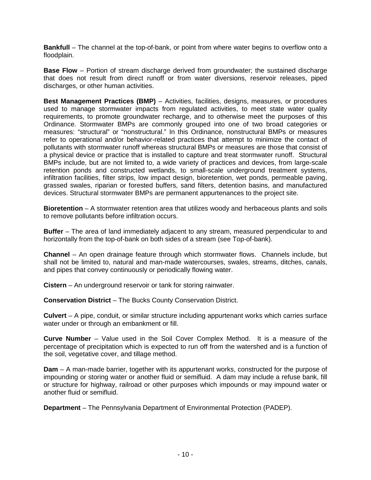**Bankfull** – The channel at the top-of-bank, or point from where water begins to overflow onto a floodplain.

**Base Flow** – Portion of stream discharge derived from groundwater; the sustained discharge that does not result from direct runoff or from water diversions, reservoir releases, piped discharges, or other human activities.

**Best Management Practices (BMP)** – Activities, facilities, designs, measures, or procedures used to manage stormwater impacts from regulated activities, to meet state water quality requirements, to promote groundwater recharge, and to otherwise meet the purposes of this Ordinance. Stormwater BMPs are commonly grouped into one of two broad categories or measures: "structural" or "nonstructural." In this Ordinance, nonstructural BMPs or measures refer to operational and/or behavior-related practices that attempt to minimize the contact of pollutants with stormwater runoff whereas structural BMPs or measures are those that consist of a physical device or practice that is installed to capture and treat stormwater runoff. Structural BMPs include, but are not limited to, a wide variety of practices and devices, from large-scale retention ponds and constructed wetlands, to small-scale underground treatment systems, infiltration facilities, filter strips, low impact design, bioretention, wet ponds, permeable paving, grassed swales, riparian or forested buffers, sand filters, detention basins, and manufactured devices. Structural stormwater BMPs are permanent appurtenances to the project site.

**Bioretention** – A stormwater retention area that utilizes woody and herbaceous plants and soils to remove pollutants before infiltration occurs.

**Buffer** – The area of land immediately adjacent to any stream, measured perpendicular to and horizontally from the top-of-bank on both sides of a stream (see Top-of-bank).

**Channel** – An open drainage feature through which stormwater flows. Channels include, but shall not be limited to, natural and man-made watercourses, swales, streams, ditches, canals, and pipes that convey continuously or periodically flowing water.

**Cistern** – An underground reservoir or tank for storing rainwater.

**Conservation District** – The Bucks County Conservation District.

**Culvert** – A pipe, conduit, or similar structure including appurtenant works which carries surface water under or through an embankment or fill.

**Curve Number** – Value used in the Soil Cover Complex Method. It is a measure of the percentage of precipitation which is expected to run off from the watershed and is a function of the soil, vegetative cover, and tillage method.

**Dam** – A man-made barrier, together with its appurtenant works, constructed for the purpose of impounding or storing water or another fluid or semifluid. A dam may include a refuse bank, fill or structure for highway, railroad or other purposes which impounds or may impound water or another fluid or semifluid.

**Department** – The Pennsylvania Department of Environmental Protection (PADEP).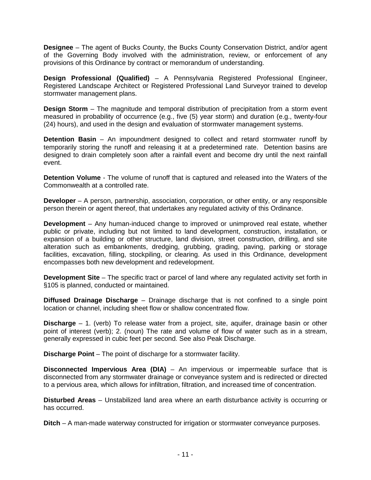**Designee** – The agent of Bucks County, the Bucks County Conservation District, and/or agent of the Governing Body involved with the administration, review, or enforcement of any provisions of this Ordinance by contract or memorandum of understanding.

**Design Professional (Qualified)** – A Pennsylvania Registered Professional Engineer, Registered Landscape Architect or Registered Professional Land Surveyor trained to develop stormwater management plans.

**Design Storm** – The magnitude and temporal distribution of precipitation from a storm event measured in probability of occurrence (e.g., five (5) year storm) and duration (e.g., twenty-four (24) hours), and used in the design and evaluation of stormwater management systems.

**Detention Basin** – An impoundment designed to collect and retard stormwater runoff by temporarily storing the runoff and releasing it at a predetermined rate. Detention basins are designed to drain completely soon after a rainfall event and become dry until the next rainfall event.

**Detention Volume** - The volume of runoff that is captured and released into the Waters of the Commonwealth at a controlled rate.

**Developer** – A person, partnership, association, corporation, or other entity, or any responsible person therein or agent thereof, that undertakes any regulated activity of this Ordinance.

**Development** – Any human-induced change to improved or unimproved real estate, whether public or private, including but not limited to land development, construction, installation, or expansion of a building or other structure, land division, street construction, drilling, and site alteration such as embankments, dredging, grubbing, grading, paving, parking or storage facilities, excavation, filling, stockpiling, or clearing. As used in this Ordinance, development encompasses both new development and redevelopment.

**Development Site** – The specific tract or parcel of land where any regulated activity set forth in §105 is planned, conducted or maintained.

**Diffused Drainage Discharge** – Drainage discharge that is not confined to a single point location or channel, including sheet flow or shallow concentrated flow.

**Discharge** – 1. (verb) To release water from a project, site, aquifer, drainage basin or other point of interest (verb); 2. (noun) The rate and volume of flow of water such as in a stream, generally expressed in cubic feet per second. See also Peak Discharge.

**Discharge Point** – The point of discharge for a stormwater facility.

**Disconnected Impervious Area (DIA)** – An impervious or impermeable surface that is disconnected from any stormwater drainage or conveyance system and is redirected or directed to a pervious area, which allows for infiltration, filtration, and increased time of concentration.

**Disturbed Areas** – Unstabilized land area where an earth disturbance activity is occurring or has occurred.

**Ditch** – A man-made waterway constructed for irrigation or stormwater conveyance purposes.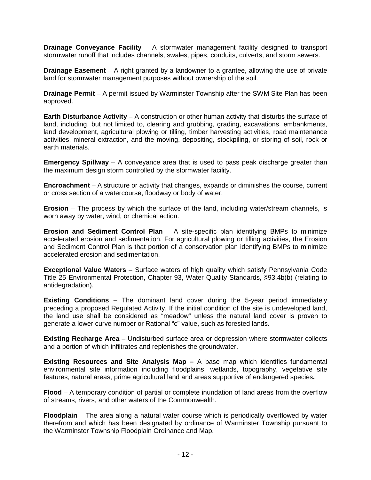**Drainage Conveyance Facility** – A stormwater management facility designed to transport stormwater runoff that includes channels, swales, pipes, conduits, culverts, and storm sewers.

**Drainage Easement** – A right granted by a landowner to a grantee, allowing the use of private land for stormwater management purposes without ownership of the soil.

**Drainage Permit** – A permit issued by Warminster Township after the SWM Site Plan has been approved.

**Earth Disturbance Activity** – A construction or other human activity that disturbs the surface of land, including, but not limited to, clearing and grubbing, grading, excavations, embankments, land development, agricultural plowing or tilling, timber harvesting activities, road maintenance activities, mineral extraction, and the moving, depositing, stockpiling, or storing of soil, rock or earth materials.

**Emergency Spillway** – A conveyance area that is used to pass peak discharge greater than the maximum design storm controlled by the stormwater facility.

**Encroachment** – A structure or activity that changes, expands or diminishes the course, current or cross section of a watercourse, floodway or body of water.

**Erosion** – The process by which the surface of the land, including water/stream channels, is worn away by water, wind, or chemical action.

**Erosion and Sediment Control Plan** – A site-specific plan identifying BMPs to minimize accelerated erosion and sedimentation. For agricultural plowing or tilling activities, the Erosion and Sediment Control Plan is that portion of a conservation plan identifying BMPs to minimize accelerated erosion and sedimentation.

**Exceptional Value Waters** – Surface waters of high quality which satisfy Pennsylvania Code Title 25 Environmental Protection, Chapter 93, Water Quality Standards, §93.4b(b) (relating to antidegradation).

**Existing Conditions** – The dominant land cover during the 5-year period immediately preceding a proposed Regulated Activity. If the initial condition of the site is undeveloped land, the land use shall be considered as "meadow" unless the natural land cover is proven to generate a lower curve number or Rational "c" value, such as forested lands.

**Existing Recharge Area** – Undisturbed surface area or depression where stormwater collects and a portion of which infiltrates and replenishes the groundwater.

**Existing Resources and Site Analysis Map –** A base map which identifies fundamental environmental site information including floodplains, wetlands, topography, vegetative site features, natural areas, prime agricultural land and areas supportive of endangered species**.** 

**Flood** – A temporary condition of partial or complete inundation of land areas from the overflow of streams, rivers, and other waters of the Commonwealth.

**Floodplain** – The area along a natural water course which is periodically overflowed by water therefrom and which has been designated by ordinance of Warminster Township pursuant to the Warminster Township Floodplain Ordinance and Map.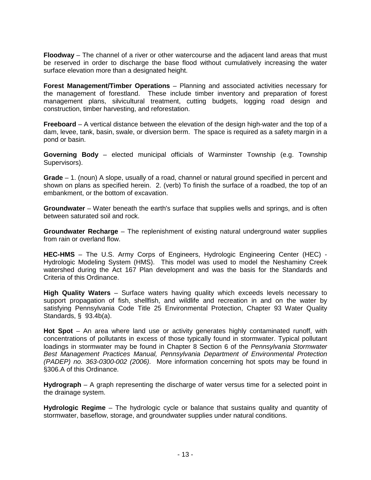**Floodway** – The channel of a river or other watercourse and the adjacent land areas that must be reserved in order to discharge the base flood without cumulatively increasing the water surface elevation more than a designated height.

**Forest Management/Timber Operations** – Planning and associated activities necessary for the management of forestland. These include timber inventory and preparation of forest management plans, silvicultural treatment, cutting budgets, logging road design and construction, timber harvesting, and reforestation.

**Freeboard** – A vertical distance between the elevation of the design high-water and the top of a dam, levee, tank, basin, swale, or diversion berm. The space is required as a safety margin in a pond or basin.

**Governing Body** – elected municipal officials of Warminster Township (e.g. Township Supervisors).

**Grade** – 1. (noun) A slope, usually of a road, channel or natural ground specified in percent and shown on plans as specified herein. 2. (verb) To finish the surface of a roadbed, the top of an embankment, or the bottom of excavation.

**Groundwater** – Water beneath the earth's surface that supplies wells and springs, and is often between saturated soil and rock.

**Groundwater Recharge** – The replenishment of existing natural underground water supplies from rain or overland flow.

**HEC-HMS** – The U.S. Army Corps of Engineers, Hydrologic Engineering Center (HEC) - Hydrologic Modeling System (HMS). This model was used to model the Neshaminy Creek watershed during the Act 167 Plan development and was the basis for the Standards and Criteria of this Ordinance.

**High Quality Waters** – Surface waters having quality which exceeds levels necessary to support propagation of fish, shellfish, and wildlife and recreation in and on the water by satisfying Pennsylvania Code Title 25 Environmental Protection, Chapter 93 Water Quality Standards, § 93.4b(a).

**Hot Spot** – An area where land use or activity generates highly contaminated runoff, with concentrations of pollutants in excess of those typically found in stormwater. Typical pollutant loadings in stormwater may be found in Chapter 8 Section 6 of the Pennsylvania Stormwater Best Management Practices Manual, Pennsylvania Department of Environmental Protection (PADEP) no. 363-0300-002 (2006). More information concerning hot spots may be found in §306.A of this Ordinance.

**Hydrograph** – A graph representing the discharge of water versus time for a selected point in the drainage system.

**Hydrologic Regime** – The hydrologic cycle or balance that sustains quality and quantity of stormwater, baseflow, storage, and groundwater supplies under natural conditions.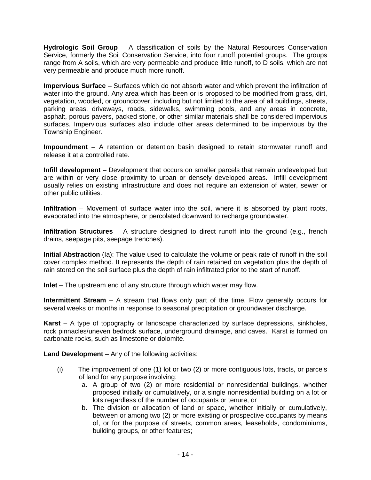**Hydrologic Soil Group** – A classification of soils by the Natural Resources Conservation Service, formerly the Soil Conservation Service, into four runoff potential groups. The groups range from A soils, which are very permeable and produce little runoff, to D soils, which are not very permeable and produce much more runoff.

**Impervious Surface** – Surfaces which do not absorb water and which prevent the infiltration of water into the ground. Any area which has been or is proposed to be modified from grass, dirt, vegetation, wooded, or groundcover, including but not limited to the area of all buildings, streets, parking areas, driveways, roads, sidewalks, swimming pools, and any areas in concrete, asphalt, porous pavers, packed stone, or other similar materials shall be considered impervious surfaces. Impervious surfaces also include other areas determined to be impervious by the Township Engineer.

**Impoundment** – A retention or detention basin designed to retain stormwater runoff and release it at a controlled rate.

**Infill development** – Development that occurs on smaller parcels that remain undeveloped but are within or very close proximity to urban or densely developed areas. Infill development usually relies on existing infrastructure and does not require an extension of water, sewer or other public utilities.

**Infiltration** – Movement of surface water into the soil, where it is absorbed by plant roots, evaporated into the atmosphere, or percolated downward to recharge groundwater.

**Infiltration Structures** – A structure designed to direct runoff into the ground (e.g., french drains, seepage pits, seepage trenches).

**Initial Abstraction** (Ia): The value used to calculate the volume or peak rate of runoff in the soil cover complex method. It represents the depth of rain retained on vegetation plus the depth of rain stored on the soil surface plus the depth of rain infiltrated prior to the start of runoff.

**Inlet** – The upstream end of any structure through which water may flow.

**Intermittent Stream** – A stream that flows only part of the time. Flow generally occurs for several weeks or months in response to seasonal precipitation or groundwater discharge.

**Karst** – A type of topography or landscape characterized by surface depressions, sinkholes, rock pinnacles/uneven bedrock surface, underground drainage, and caves. Karst is formed on carbonate rocks, such as limestone or dolomite.

**Land Development** – Any of the following activities:

- (i) The improvement of one (1) lot or two (2) or more contiguous lots, tracts, or parcels of land for any purpose involving:
	- a. A group of two (2) or more residential or nonresidential buildings, whether proposed initially or cumulatively, or a single nonresidential building on a lot or lots regardless of the number of occupants or tenure, or
	- b. The division or allocation of land or space, whether initially or cumulatively, between or among two (2) or more existing or prospective occupants by means of, or for the purpose of streets, common areas, leaseholds, condominiums, building groups, or other features;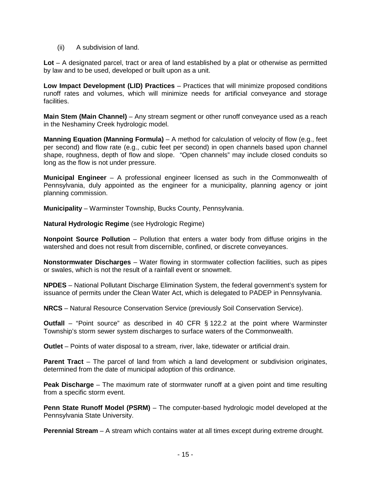(ii) A subdivision of land.

**Lot** – A designated parcel, tract or area of land established by a plat or otherwise as permitted by law and to be used, developed or built upon as a unit.

**Low Impact Development (LID) Practices** – Practices that will minimize proposed conditions runoff rates and volumes, which will minimize needs for artificial conveyance and storage facilities.

**Main Stem (Main Channel)** – Any stream segment or other runoff conveyance used as a reach in the Neshaminy Creek hydrologic model.

**Manning Equation (Manning Formula)** – A method for calculation of velocity of flow (e.g., feet per second) and flow rate (e.g., cubic feet per second) in open channels based upon channel shape, roughness, depth of flow and slope. "Open channels" may include closed conduits so long as the flow is not under pressure.

**Municipal Engineer** – A professional engineer licensed as such in the Commonwealth of Pennsylvania, duly appointed as the engineer for a municipality, planning agency or joint planning commission.

**Municipality** – Warminster Township, Bucks County, Pennsylvania.

**Natural Hydrologic Regime** (see Hydrologic Regime)

**Nonpoint Source Pollution** – Pollution that enters a water body from diffuse origins in the watershed and does not result from discernible, confined, or discrete conveyances.

**Nonstormwater Discharges** – Water flowing in stormwater collection facilities, such as pipes or swales, which is not the result of a rainfall event or snowmelt.

**NPDES** – National Pollutant Discharge Elimination System, the federal government's system for issuance of permits under the Clean Water Act, which is delegated to PADEP in Pennsylvania.

**NRCS** – Natural Resource Conservation Service (previously Soil Conservation Service).

**Outfall** – "Point source" as described in 40 CFR § 122.2 at the point where Warminster Township's storm sewer system discharges to surface waters of the Commonwealth.

**Outlet** – Points of water disposal to a stream, river, lake, tidewater or artificial drain.

**Parent Tract** – The parcel of land from which a land development or subdivision originates, determined from the date of municipal adoption of this ordinance.

**Peak Discharge** – The maximum rate of stormwater runoff at a given point and time resulting from a specific storm event.

**Penn State Runoff Model (PSRM)** – The computer-based hydrologic model developed at the Pennsylvania State University.

**Perennial Stream** – A stream which contains water at all times except during extreme drought.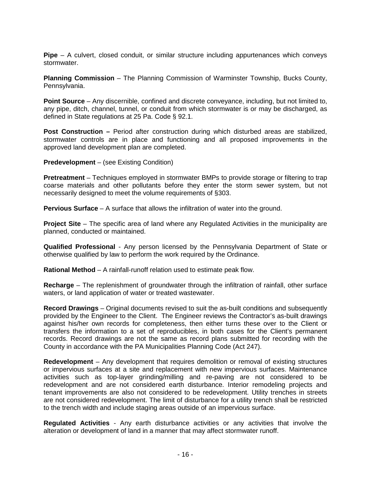**Pipe** – A culvert, closed conduit, or similar structure including appurtenances which conveys stormwater.

**Planning Commission** – The Planning Commission of Warminster Township, Bucks County, Pennsylvania.

**Point Source** – Any discernible, confined and discrete conveyance, including, but not limited to, any pipe, ditch, channel, tunnel, or conduit from which stormwater is or may be discharged, as defined in State regulations at 25 Pa. Code § 92.1.

**Post Construction –** Period after construction during which disturbed areas are stabilized, stormwater controls are in place and functioning and all proposed improvements in the approved land development plan are completed.

**Predevelopment** – (see Existing Condition)

**Pretreatment** – Techniques employed in stormwater BMPs to provide storage or filtering to trap coarse materials and other pollutants before they enter the storm sewer system, but not necessarily designed to meet the volume requirements of §303.

**Pervious Surface** – A surface that allows the infiltration of water into the ground.

**Project Site** – The specific area of land where any Regulated Activities in the municipality are planned, conducted or maintained.

**Qualified Professional** - Any person licensed by the Pennsylvania Department of State or otherwise qualified by law to perform the work required by the Ordinance.

**Rational Method** – A rainfall-runoff relation used to estimate peak flow.

**Recharge** – The replenishment of groundwater through the infiltration of rainfall, other surface waters, or land application of water or treated wastewater.

**Record Drawings** – Original documents revised to suit the as-built conditions and subsequently provided by the Engineer to the Client. The Engineer reviews the Contractor's as-built drawings against his/her own records for completeness, then either turns these over to the Client or transfers the information to a set of reproducibles, in both cases for the Client's permanent records. Record drawings are not the same as record plans submitted for recording with the County in accordance with the PA Municipalities Planning Code (Act 247).

**Redevelopment** – Any development that requires demolition or removal of existing structures or impervious surfaces at a site and replacement with new impervious surfaces. Maintenance activities such as top-layer grinding/milling and re-paving are not considered to be redevelopment and are not considered earth disturbance. Interior remodeling projects and tenant improvements are also not considered to be redevelopment. Utility trenches in streets are not considered redevelopment. The limit of disturbance for a utility trench shall be restricted to the trench width and include staging areas outside of an impervious surface.

**Regulated Activities** - Any earth disturbance activities or any activities that involve the alteration or development of land in a manner that may affect stormwater runoff.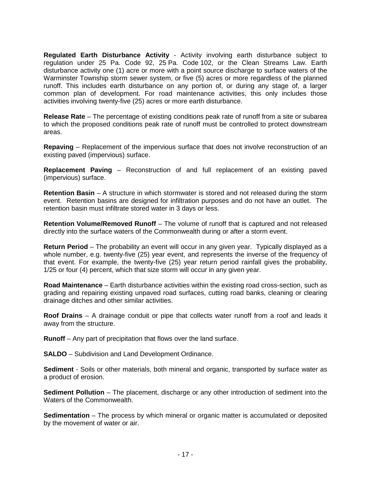**Regulated Earth Disturbance Activity - Activity involving earth disturbance subject to** regulation under 25 Pa. Code 92, 25 Pa. Code 102, or the Clean Streams Law. Earth disturbance activity one (1) acre or more with a point source discharge to surface waters of the Warminster Township storm sewer system, or five (5) acres or more regardless of the planned runoff. This includes earth disturbance on any portion of, or during any stage of, a larger common plan of development. For road maintenance activities, this only includes those activities involving twenty-five (25) acres or more earth disturbance.

**Release Rate** – The percentage of existing conditions peak rate of runoff from a site or subarea to which the proposed conditions peak rate of runoff must be controlled to protect downstream areas.

**Repaving** – Replacement of the impervious surface that does not involve reconstruction of an existing paved (impervious) surface.

**Replacement Paving** – Reconstruction of and full replacement of an existing paved (impervious) surface.

**Retention Basin** – A structure in which stormwater is stored and not released during the storm event. Retention basins are designed for infiltration purposes and do not have an outlet. The retention basin must infiltrate stored water in 3 days or less.

**Retention Volume/Removed Runoff** – The volume of runoff that is captured and not released directly into the surface waters of the Commonwealth during or after a storm event.

**Return Period** – The probability an event will occur in any given year. Typically displayed as a whole number, e.g. twenty-five (25) year event, and represents the inverse of the frequency of that event. For example, the twenty-five (25) year return period rainfall gives the probability, 1/25 or four (4) percent, which that size storm will occur in any given year.

**Road Maintenance** – Earth disturbance activities within the existing road cross-section, such as grading and repairing existing unpaved road surfaces, cutting road banks, cleaning or clearing drainage ditches and other similar activities.

**Roof Drains** – A drainage conduit or pipe that collects water runoff from a roof and leads it away from the structure.

**Runoff** – Any part of precipitation that flows over the land surface.

**SALDO** – Subdivision and Land Development Ordinance.

**Sediment** - Soils or other materials, both mineral and organic, transported by surface water as a product of erosion.

**Sediment Pollution** – The placement, discharge or any other introduction of sediment into the Waters of the Commonwealth.

**Sedimentation** – The process by which mineral or organic matter is accumulated or deposited by the movement of water or air.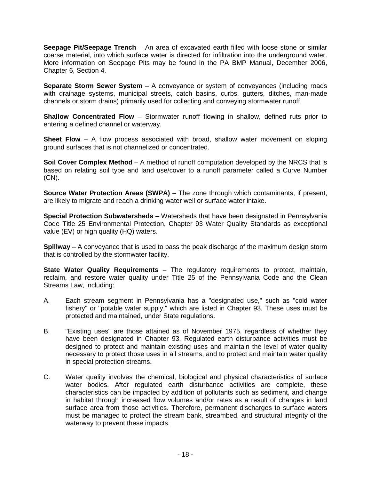**Seepage Pit/Seepage Trench** – An area of excavated earth filled with loose stone or similar coarse material, into which surface water is directed for infiltration into the underground water. More information on Seepage Pits may be found in the PA BMP Manual, December 2006, Chapter 6, Section 4.

**Separate Storm Sewer System** – A conveyance or system of conveyances (including roads with drainage systems, municipal streets, catch basins, curbs, gutters, ditches, man-made channels or storm drains) primarily used for collecting and conveying stormwater runoff.

**Shallow Concentrated Flow** – Stormwater runoff flowing in shallow, defined ruts prior to entering a defined channel or waterway.

**Sheet Flow** – A flow process associated with broad, shallow water movement on sloping ground surfaces that is not channelized or concentrated.

**Soil Cover Complex Method** – A method of runoff computation developed by the NRCS that is based on relating soil type and land use/cover to a runoff parameter called a Curve Number (CN).

**Source Water Protection Areas (SWPA)** – The zone through which contaminants, if present, are likely to migrate and reach a drinking water well or surface water intake.

**Special Protection Subwatersheds** – Watersheds that have been designated in Pennsylvania Code Title 25 Environmental Protection, Chapter 93 Water Quality Standards as exceptional value (EV) or high quality (HQ) waters.

**Spillway** – A conveyance that is used to pass the peak discharge of the maximum design storm that is controlled by the stormwater facility.

**State Water Quality Requirements** – The regulatory requirements to protect, maintain, reclaim, and restore water quality under Title 25 of the Pennsylvania Code and the Clean Streams Law, including:

- A. Each stream segment in Pennsylvania has a "designated use," such as "cold water fishery" or "potable water supply," which are listed in Chapter 93. These uses must be protected and maintained, under State regulations.
- B. "Existing uses" are those attained as of November 1975, regardless of whether they have been designated in Chapter 93. Regulated earth disturbance activities must be designed to protect and maintain existing uses and maintain the level of water quality necessary to protect those uses in all streams, and to protect and maintain water quality in special protection streams.
- C. Water quality involves the chemical, biological and physical characteristics of surface water bodies. After regulated earth disturbance activities are complete, these characteristics can be impacted by addition of pollutants such as sediment, and change in habitat through increased flow volumes and/or rates as a result of changes in land surface area from those activities. Therefore, permanent discharges to surface waters must be managed to protect the stream bank, streambed, and structural integrity of the waterway to prevent these impacts.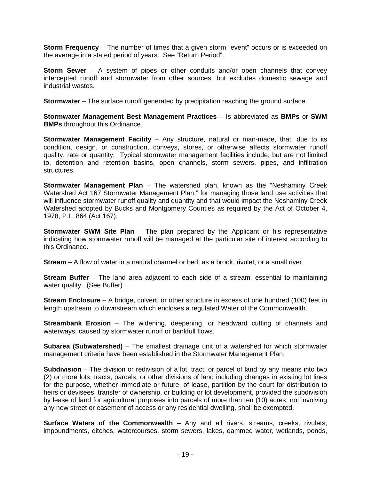**Storm Frequency** – The number of times that a given storm "event" occurs or is exceeded on the average in a stated period of years. See "Return Period".

**Storm Sewer** – A system of pipes or other conduits and/or open channels that convey intercepted runoff and stormwater from other sources, but excludes domestic sewage and industrial wastes.

**Stormwater** – The surface runoff generated by precipitation reaching the ground surface.

**Stormwater Management Best Management Practices** – Is abbreviated as **BMPs** or **SWM BMPs** throughout this Ordinance.

**Stormwater Management Facility** – Any structure, natural or man-made, that, due to its condition, design, or construction, conveys, stores, or otherwise affects stormwater runoff quality, rate or quantity. Typical stormwater management facilities include, but are not limited to, detention and retention basins, open channels, storm sewers, pipes, and infiltration structures.

**Stormwater Management Plan** – The watershed plan, known as the "Neshaminy Creek Watershed Act 167 Stormwater Management Plan," for managing those land use activities that will influence stormwater runoff quality and quantity and that would impact the Neshaminy Creek Watershed adopted by Bucks and Montgomery Counties as required by the Act of October 4, 1978, P.L. 864 (Act 167).

**Stormwater SWM Site Plan** – The plan prepared by the Applicant or his representative indicating how stormwater runoff will be managed at the particular site of interest according to this Ordinance.

**Stream** – A flow of water in a natural channel or bed, as a brook, rivulet, or a small river.

**Stream Buffer** – The land area adjacent to each side of a stream, essential to maintaining water quality. (See Buffer)

**Stream Enclosure** – A bridge, culvert, or other structure in excess of one hundred (100) feet in length upstream to downstream which encloses a regulated Water of the Commonwealth.

**Streambank Erosion** – The widening, deepening, or headward cutting of channels and waterways, caused by stormwater runoff or bankfull flows.

**Subarea (Subwatershed)** – The smallest drainage unit of a watershed for which stormwater management criteria have been established in the Stormwater Management Plan.

**Subdivision** – The division or redivision of a lot, tract, or parcel of land by any means into two (2) or more lots, tracts, parcels, or other divisions of land including changes in existing lot lines for the purpose, whether immediate or future, of lease, partition by the court for distribution to heirs or devisees, transfer of ownership, or building or lot development, provided the subdivision by lease of land for agricultural purposes into parcels of more than ten (10) acres, not involving any new street or easement of access or any residential dwelling, shall be exempted.

**Surface Waters of the Commonwealth** – Any and all rivers, streams, creeks, rivulets, impoundments, ditches, watercourses, storm sewers, lakes, dammed water, wetlands, ponds,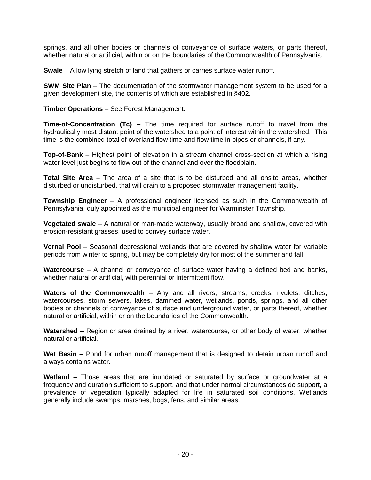springs, and all other bodies or channels of conveyance of surface waters, or parts thereof, whether natural or artificial, within or on the boundaries of the Commonwealth of Pennsylvania.

**Swale** – A low lying stretch of land that gathers or carries surface water runoff.

**SWM Site Plan** – The documentation of the stormwater management system to be used for a given development site, the contents of which are established in §402.

**Timber Operations** – See Forest Management.

**Time-of-Concentration (Tc)** – The time required for surface runoff to travel from the hydraulically most distant point of the watershed to a point of interest within the watershed. This time is the combined total of overland flow time and flow time in pipes or channels, if any.

**Top-of-Bank** – Highest point of elevation in a stream channel cross-section at which a rising water level just begins to flow out of the channel and over the floodplain.

**Total Site Area –** The area of a site that is to be disturbed and all onsite areas, whether disturbed or undisturbed, that will drain to a proposed stormwater management facility.

**Township Engineer** – A professional engineer licensed as such in the Commonwealth of Pennsylvania, duly appointed as the municipal engineer for Warminster Township.

**Vegetated swale** – A natural or man-made waterway, usually broad and shallow, covered with erosion-resistant grasses, used to convey surface water.

**Vernal Pool** – Seasonal depressional wetlands that are covered by shallow water for variable periods from winter to spring, but may be completely dry for most of the summer and fall.

**Watercourse** – A channel or conveyance of surface water having a defined bed and banks, whether natural or artificial, with perennial or intermittent flow.

**Waters of the Commonwealth** – Any and all rivers, streams, creeks, rivulets, ditches, watercourses, storm sewers, lakes, dammed water, wetlands, ponds, springs, and all other bodies or channels of conveyance of surface and underground water, or parts thereof, whether natural or artificial, within or on the boundaries of the Commonwealth.

**Watershed** – Region or area drained by a river, watercourse, or other body of water, whether natural or artificial.

**Wet Basin** – Pond for urban runoff management that is designed to detain urban runoff and always contains water.

**Wetland** – Those areas that are inundated or saturated by surface or groundwater at a frequency and duration sufficient to support, and that under normal circumstances do support, a prevalence of vegetation typically adapted for life in saturated soil conditions. Wetlands generally include swamps, marshes, bogs, fens, and similar areas.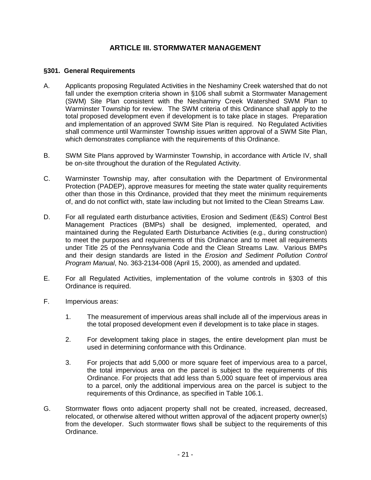## **ARTICLE III. STORMWATER MANAGEMENT**

#### **§301. General Requirements**

- A. Applicants proposing Regulated Activities in the Neshaminy Creek watershed that do not fall under the exemption criteria shown in §106 shall submit a Stormwater Management (SWM) Site Plan consistent with the Neshaminy Creek Watershed SWM Plan to Warminster Township for review. The SWM criteria of this Ordinance shall apply to the total proposed development even if development is to take place in stages. Preparation and implementation of an approved SWM Site Plan is required. No Regulated Activities shall commence until Warminster Township issues written approval of a SWM Site Plan, which demonstrates compliance with the requirements of this Ordinance.
- B. SWM Site Plans approved by Warminster Township, in accordance with Article IV, shall be on-site throughout the duration of the Regulated Activity.
- C. Warminster Township may, after consultation with the Department of Environmental Protection (PADEP), approve measures for meeting the state water quality requirements other than those in this Ordinance, provided that they meet the minimum requirements of, and do not conflict with, state law including but not limited to the Clean Streams Law.
- D. For all regulated earth disturbance activities, Erosion and Sediment (E&S) Control Best Management Practices (BMPs) shall be designed, implemented, operated, and maintained during the Regulated Earth Disturbance Activities (e.g., during construction) to meet the purposes and requirements of this Ordinance and to meet all requirements under Title 25 of the Pennsylvania Code and the Clean Streams Law. Various BMPs and their design standards are listed in the Erosion and Sediment Pollution Control Program Manual, No. 363-2134-008 (April 15, 2000), as amended and updated.
- E. For all Regulated Activities, implementation of the volume controls in §303 of this Ordinance is required.
- F. Impervious areas:
	- 1. The measurement of impervious areas shall include all of the impervious areas in the total proposed development even if development is to take place in stages.
	- 2. For development taking place in stages, the entire development plan must be used in determining conformance with this Ordinance.
	- 3. For projects that add 5,000 or more square feet of impervious area to a parcel, the total impervious area on the parcel is subject to the requirements of this Ordinance. For projects that add less than 5,000 square feet of impervious area to a parcel, only the additional impervious area on the parcel is subject to the requirements of this Ordinance, as specified in Table 106.1.
- G. Stormwater flows onto adjacent property shall not be created, increased, decreased, relocated, or otherwise altered without written approval of the adjacent property owner(s) from the developer. Such stormwater flows shall be subject to the requirements of this Ordinance.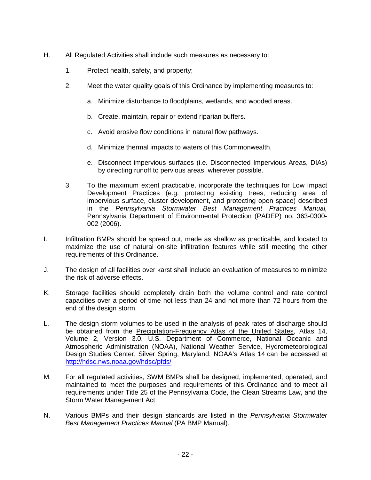- H. All Regulated Activities shall include such measures as necessary to:
	- 1. Protect health, safety, and property;
	- 2. Meet the water quality goals of this Ordinance by implementing measures to:
		- a. Minimize disturbance to floodplains, wetlands, and wooded areas.
		- b. Create, maintain, repair or extend riparian buffers.
		- c. Avoid erosive flow conditions in natural flow pathways.
		- d. Minimize thermal impacts to waters of this Commonwealth.
		- e. Disconnect impervious surfaces (i.e. Disconnected Impervious Areas, DIAs) by directing runoff to pervious areas, wherever possible.
	- 3. To the maximum extent practicable, incorporate the techniques for Low Impact Development Practices (e.g. protecting existing trees, reducing area of impervious surface, cluster development, and protecting open space) described in the Pennsylvania Stormwater Best Management Practices Manual, Pennsylvania Department of Environmental Protection (PADEP) no. 363-0300- 002 (2006).
- I. Infiltration BMPs should be spread out, made as shallow as practicable, and located to maximize the use of natural on-site infiltration features while still meeting the other requirements of this Ordinance.
- J. The design of all facilities over karst shall include an evaluation of measures to minimize the risk of adverse effects.
- K. Storage facilities should completely drain both the volume control and rate control capacities over a period of time not less than 24 and not more than 72 hours from the end of the design storm.
- L. The design storm volumes to be used in the analysis of peak rates of discharge should be obtained from the Precipitation-Frequency Atlas of the United States, Atlas 14, Volume 2, Version 3.0, U.S. Department of Commerce, National Oceanic and Atmospheric Administration (NOAA), National Weather Service, Hydrometeorological Design Studies Center, Silver Spring, Maryland. NOAA's Atlas 14 can be accessed at http://hdsc.nws.noaa.gov/hdsc/pfds/
- M. For all regulated activities, SWM BMPs shall be designed, implemented, operated, and maintained to meet the purposes and requirements of this Ordinance and to meet all requirements under Title 25 of the Pennsylvania Code, the Clean Streams Law, and the Storm Water Management Act.
- N. Various BMPs and their design standards are listed in the Pennsylvania Stormwater Best Management Practices Manual (PA BMP Manual).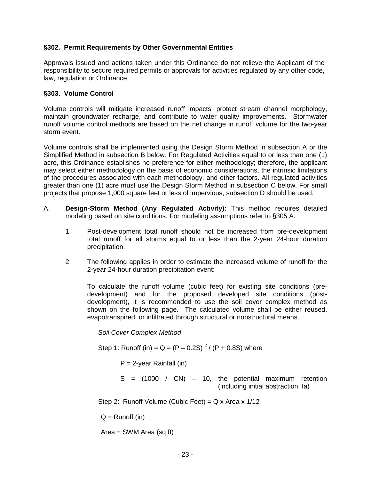#### **§302. Permit Requirements by Other Governmental Entities**

Approvals issued and actions taken under this Ordinance do not relieve the Applicant of the responsibility to secure required permits or approvals for activities regulated by any other code, law, regulation or Ordinance.

#### **§303. Volume Control**

Volume controls will mitigate increased runoff impacts, protect stream channel morphology, maintain groundwater recharge, and contribute to water quality improvements. Stormwater runoff volume control methods are based on the net change in runoff volume for the two-year storm event.

Volume controls shall be implemented using the Design Storm Method in subsection A or the Simplified Method in subsection B below. For Regulated Activities equal to or less than one (1) acre, this Ordinance establishes no preference for either methodology; therefore, the applicant may select either methodology on the basis of economic considerations, the intrinsic limitations of the procedures associated with each methodology, and other factors. All regulated activities greater than one (1) acre must use the Design Storm Method in subsection C below. For small projects that propose 1,000 square feet or less of impervious, subsection D should be used.

- A. **Design-Storm Method (Any Regulated Activity):** This method requires detailed modeling based on site conditions. For modeling assumptions refer to §305.A.
	- 1. Post-development total runoff should not be increased from pre-development total runoff for all storms equal to or less than the 2-year 24-hour duration precipitation.
	- 2. The following applies in order to estimate the increased volume of runoff for the 2-year 24-hour duration precipitation event:

To calculate the runoff volume (cubic feet) for existing site conditions (predevelopment) and for the proposed developed site conditions (postdevelopment), it is recommended to use the soil cover complex method as shown on the following page. The calculated volume shall be either reused, evapotranspired, or infiltrated through structural or nonstructural means.

#### Soil Cover Complex Method:

Step 1: Runoff (in) =  $Q = (P - 0.2S)^{2} / (P + 0.8S)$  where

 $P = 2$ -year Rainfall (in)

 $S = (1000 / CN) - 10$ , the potential maximum retention (including initial abstraction, Ia)

Step 2: Runoff Volume (Cubic Feet) = Q x Area x 1/12

 $Q =$  Runoff (in)

 $Area = SWM Area (sq ft)$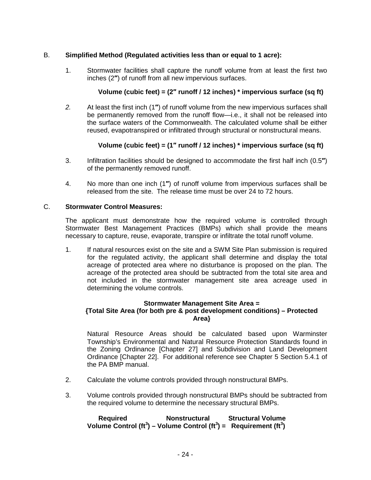#### B. **Simplified Method (Regulated activities less than or equal to 1 acre):**

1. Stormwater facilities shall capture the runoff volume from at least the first two inches (2″) of runoff from all new impervious surfaces.

#### **Volume (cubic feet) = (2**″ **runoff / 12 inches) \* impervious surface (sq ft)**

2. At least the first inch (1″) of runoff volume from the new impervious surfaces shall be permanently removed from the runoff flow—i.e., it shall not be released into the surface waters of the Commonwealth. The calculated volume shall be either reused, evapotranspired or infiltrated through structural or nonstructural means.

#### **Volume (cubic feet) = (1**″ **runoff / 12 inches) \* impervious surface (sq ft)**

- 3. Infiltration facilities should be designed to accommodate the first half inch (0.5″) of the permanently removed runoff.
- 4. No more than one inch (1″) of runoff volume from impervious surfaces shall be released from the site. The release time must be over 24 to 72 hours.

#### C. **Stormwater Control Measures:**

The applicant must demonstrate how the required volume is controlled through Stormwater Best Management Practices (BMPs) which shall provide the means necessary to capture, reuse, evaporate, transpire or infiltrate the total runoff volume.

1. If natural resources exist on the site and a SWM Site Plan submission is required for the regulated activity, the applicant shall determine and display the total acreage of protected area where no disturbance is proposed on the plan. The acreage of the protected area should be subtracted from the total site area and not included in the stormwater management site area acreage used in determining the volume controls.

#### **Stormwater Management Site Area =**

#### **{Total Site Area (for both pre & post development conditions) – Protected Area}**

Natural Resource Areas should be calculated based upon Warminster Township's Environmental and Natural Resource Protection Standards found in the Zoning Ordinance [Chapter 27] and Subdivision and Land Development Ordinance [Chapter 22]. For additional reference see Chapter 5 Section 5.4.1 of the PA BMP manual.

- 2. Calculate the volume controls provided through nonstructural BMPs.
- 3. Volume controls provided through nonstructural BMPs should be subtracted from the required volume to determine the necessary structural BMPs.

#### **Required Nonstructural Structural Volume**  Volume Control (ft<sup>3</sup>) – Volume Control (ft<sup>3</sup>) = Requirement (ft<sup>3</sup>)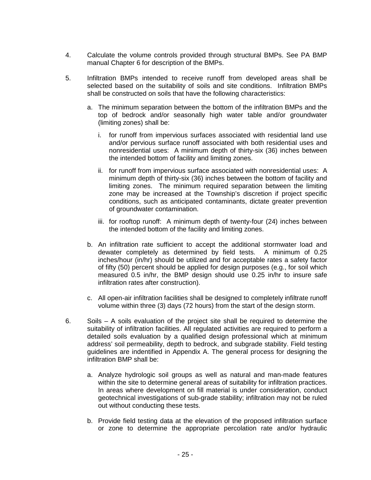- 4. Calculate the volume controls provided through structural BMPs. See PA BMP manual Chapter 6 for description of the BMPs.
- 5. Infiltration BMPs intended to receive runoff from developed areas shall be selected based on the suitability of soils and site conditions. Infiltration BMPs shall be constructed on soils that have the following characteristics:
	- a. The minimum separation between the bottom of the infiltration BMPs and the top of bedrock and/or seasonally high water table and/or groundwater (limiting zones) shall be:
		- i. for runoff from impervious surfaces associated with residential land use and/or pervious surface runoff associated with both residential uses and nonresidential uses: A minimum depth of thirty-six (36) inches between the intended bottom of facility and limiting zones.
		- ii. for runoff from impervious surface associated with nonresidential uses: A minimum depth of thirty-six (36) inches between the bottom of facility and limiting zones. The minimum required separation between the limiting zone may be increased at the Township's discretion if project specific conditions, such as anticipated contaminants, dictate greater prevention of groundwater contamination.
		- iii. for rooftop runoff: A minimum depth of twenty-four (24) inches between the intended bottom of the facility and limiting zones.
	- b. An infiltration rate sufficient to accept the additional stormwater load and dewater completely as determined by field tests. A minimum of 0.25 inches/hour (in/hr) should be utilized and for acceptable rates a safety factor of fifty (50) percent should be applied for design purposes (e.g., for soil which measured 0.5 in/hr, the BMP design should use 0.25 in/hr to insure safe infiltration rates after construction).
	- c. All open-air infiltration facilities shall be designed to completely infiltrate runoff volume within three (3) days (72 hours) from the start of the design storm.
- 6. Soils A soils evaluation of the project site shall be required to determine the suitability of infiltration facilities. All regulated activities are required to perform a detailed soils evaluation by a qualified design professional which at minimum address' soil permeability, depth to bedrock, and subgrade stability. Field testing guidelines are indentified in Appendix A. The general process for designing the infiltration BMP shall be:
	- a. Analyze hydrologic soil groups as well as natural and man-made features within the site to determine general areas of suitability for infiltration practices. In areas where development on fill material is under consideration, conduct geotechnical investigations of sub-grade stability; infiltration may not be ruled out without conducting these tests.
	- b. Provide field testing data at the elevation of the proposed infiltration surface or zone to determine the appropriate percolation rate and/or hydraulic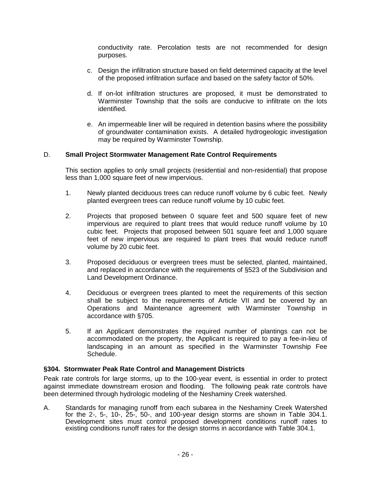conductivity rate. Percolation tests are not recommended for design purposes.

- c. Design the infiltration structure based on field determined capacity at the level of the proposed infiltration surface and based on the safety factor of 50%.
- d. If on-lot infiltration structures are proposed, it must be demonstrated to Warminster Township that the soils are conducive to infiltrate on the lots identified.
- e. An impermeable liner will be required in detention basins where the possibility of groundwater contamination exists. A detailed hydrogeologic investigation may be required by Warminster Township.

#### D. **Small Project Stormwater Management Rate Control Requirements**

This section applies to only small projects (residential and non-residential) that propose less than 1,000 square feet of new impervious.

- 1. Newly planted deciduous trees can reduce runoff volume by 6 cubic feet. Newly planted evergreen trees can reduce runoff volume by 10 cubic feet.
- 2. Projects that proposed between 0 square feet and 500 square feet of new impervious are required to plant trees that would reduce runoff volume by 10 cubic feet. Projects that proposed between 501 square feet and 1,000 square feet of new impervious are required to plant trees that would reduce runoff volume by 20 cubic feet.
- 3. Proposed deciduous or evergreen trees must be selected, planted, maintained, and replaced in accordance with the requirements of §523 of the Subdivision and Land Development Ordinance.
- 4. Deciduous or evergreen trees planted to meet the requirements of this section shall be subject to the requirements of Article VII and be covered by an Operations and Maintenance agreement with Warminster Township in accordance with §705.
- 5. If an Applicant demonstrates the required number of plantings can not be accommodated on the property, the Applicant is required to pay a fee-in-lieu of landscaping in an amount as specified in the Warminster Township Fee Schedule.

#### **§304. Stormwater Peak Rate Control and Management Districts**

Peak rate controls for large storms, up to the 100-year event, is essential in order to protect against immediate downstream erosion and flooding. The following peak rate controls have been determined through hydrologic modeling of the Neshaminy Creek watershed.

A. Standards for managing runoff from each subarea in the Neshaminy Creek Watershed for the 2-, 5-, 10-, 25-, 50-, and 100-year design storms are shown in Table 304.1. Development sites must control proposed development conditions runoff rates to existing conditions runoff rates for the design storms in accordance with Table 304.1.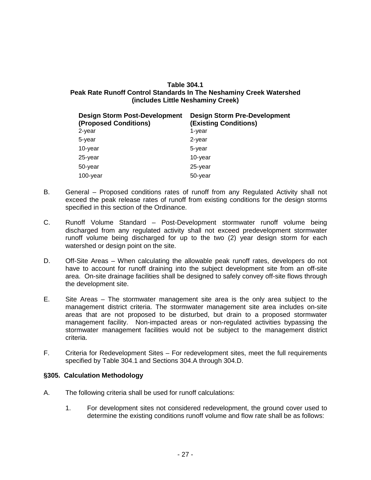#### **Table 304.1 Peak Rate Runoff Control Standards In The Neshaminy Creek Watershed (includes Little Neshaminy Creek)**

| <b>Design Storm Post-Development</b><br>(Proposed Conditions)<br>2-year | <b>Design Storm Pre-Development</b><br><b>(Existing Conditions)</b><br>1-year |
|-------------------------------------------------------------------------|-------------------------------------------------------------------------------|
| 5-year                                                                  | 2-year                                                                        |
| 10-year                                                                 | 5-year                                                                        |
| 25-year                                                                 | 10-year                                                                       |
| 50-year                                                                 | $25$ -year                                                                    |
| 100-year                                                                | 50-year                                                                       |

- B. General Proposed conditions rates of runoff from any Regulated Activity shall not exceed the peak release rates of runoff from existing conditions for the design storms specified in this section of the Ordinance.
- C. Runoff Volume Standard Post-Development stormwater runoff volume being discharged from any regulated activity shall not exceed predevelopment stormwater runoff volume being discharged for up to the two (2) year design storm for each watershed or design point on the site.
- D. Off-Site Areas When calculating the allowable peak runoff rates, developers do not have to account for runoff draining into the subject development site from an off-site area. On-site drainage facilities shall be designed to safely convey off-site flows through the development site.
- E. Site Areas The stormwater management site area is the only area subject to the management district criteria. The stormwater management site area includes on-site areas that are not proposed to be disturbed, but drain to a proposed stormwater management facility. Non-impacted areas or non-regulated activities bypassing the stormwater management facilities would not be subject to the management district criteria.
- F. Criteria for Redevelopment Sites For redevelopment sites, meet the full requirements specified by Table 304.1 and Sections 304.A through 304.D.

#### **§305. Calculation Methodology**

- A. The following criteria shall be used for runoff calculations:
	- 1. For development sites not considered redevelopment, the ground cover used to determine the existing conditions runoff volume and flow rate shall be as follows: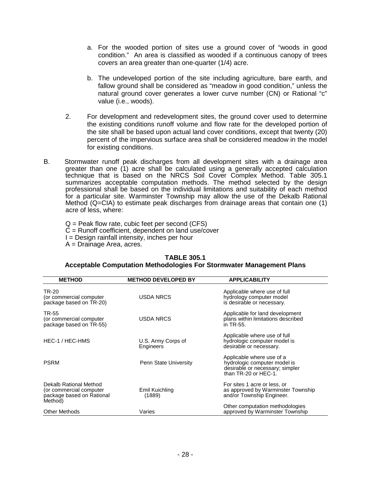- a. For the wooded portion of sites use a ground cover of "woods in good condition." An area is classified as wooded if a continuous canopy of trees covers an area greater than one-quarter (1/4) acre.
- b. The undeveloped portion of the site including agriculture, bare earth, and fallow ground shall be considered as "meadow in good condition," unless the natural ground cover generates a lower curve number (CN) or Rational "c" value (i.e., woods).
- 2. For development and redevelopment sites, the ground cover used to determine the existing conditions runoff volume and flow rate for the developed portion of the site shall be based upon actual land cover conditions, except that twenty (20) percent of the impervious surface area shall be considered meadow in the model for existing conditions.
- B. Stormwater runoff peak discharges from all development sites with a drainage area greater than one (1) acre shall be calculated using a generally accepted calculation technique that is based on the NRCS Soil Cover Complex Method. Table 305.1 summarizes acceptable computation methods. The method selected by the design professional shall be based on the individual limitations and suitability of each method for a particular site. Warminster Township may allow the use of the Dekalb Rational Method (Q=CIA) to estimate peak discharges from drainage areas that contain one (1) acre of less, where:

 $Q =$  Peak flow rate, cubic feet per second (CFS) C = Runoff coefficient, dependent on land use/cover  $I =$  Design rainfall intensity, inches per hour A = Drainage Area, acres.

| <b>METHOD</b>                                                                             | <b>METHOD DEVELOPED BY</b>      | <b>APPLICABILITY</b>                                                                                                 |
|-------------------------------------------------------------------------------------------|---------------------------------|----------------------------------------------------------------------------------------------------------------------|
| TR-20<br>(or commercial computer<br>package based on TR-20)                               | USDA NRCS                       | Applicable where use of full<br>hydrology computer model<br>is desirable or necessary.                               |
| TR-55<br>(or commercial computer<br>package based on TR-55)                               | USDA NRCS                       | Applicable for land development<br>plans within limitations described<br>in TR-55.                                   |
| HEC-1 / HEC-HMS                                                                           | U.S. Army Corps of<br>Engineers | Applicable where use of full<br>hydrologic computer model is<br>desirable or necessary.                              |
| <b>PSRM</b>                                                                               | Penn State University           | Applicable where use of a<br>hydrologic computer model is<br>desirable or necessary; simpler<br>than TR-20 or HEC-1. |
| Dekalb Rational Method<br>(or commercial computer<br>package based on Rational<br>Method) | Emil Kuichling<br>(1889)        | For sites 1 acre or less, or<br>as approved by Warminster Township<br>and/or Township Engineer.                      |
| Other Methods                                                                             | Varies                          | Other computation methodologies<br>approved by Warminster Township                                                   |

#### **TABLE 305.1 Acceptable Computation Methodologies For Stormwater Management Plans**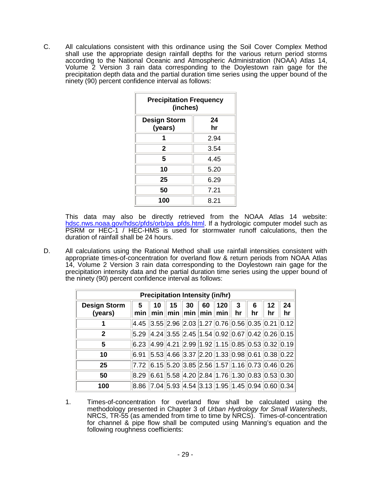C. All calculations consistent with this ordinance using the Soil Cover Complex Method shall use the appropriate design rainfall depths for the various return period storms according to the National Oceanic and Atmospheric Administration (NOAA) Atlas 14, Volume 2 Version 3 rain data corresponding to the Doylestown rain gage for the precipitation depth data and the partial duration time series using the upper bound of the ninety (90) percent confidence interval as follows:

| <b>Precipitation Frequency</b><br>(inches) |          |
|--------------------------------------------|----------|
| <b>Design Storm</b><br>(years)             | 24<br>hr |
| 1                                          | 2.94     |
| $\overline{2}$                             | 3.54     |
| 5                                          | 4.45     |
| 10                                         | 5.20     |
| 25                                         | 6.29     |
| 50                                         | 7.21     |
| 100                                        | 8.21     |

 This data may also be directly retrieved from the NOAA Atlas 14 website: hdsc.nws.noaa.gov/hdsc/pfds/orb/pa\_pfds.html. If a hydrologic computer model such as PSRM or HEC-1 / HEC-HMS is used for stormwater runoff calculations, then the duration of rainfall shall be 24 hours.

D. All calculations using the Rational Method shall use rainfall intensities consistent with appropriate times-of-concentration for overland flow & return periods from NOAA Atlas 14, Volume 2 Version 3 rain data corresponding to the Doylestown rain gage for the precipitation intensity data and the partial duration time series using the upper bound of the ninety (90) percent confidence interval as follows:

|                                |                                                       |           |    | <b>Precipitation Intensity (in/hr)</b>                                                                     |    |            |         |         |          |          |
|--------------------------------|-------------------------------------------------------|-----------|----|------------------------------------------------------------------------------------------------------------|----|------------|---------|---------|----------|----------|
| <b>Design Storm</b><br>(years) | 5<br>min                                              | 10<br>min | 15 | 30<br>$min$ $\ min$ $\ min$ $\ $                                                                           | 60 | 120<br>min | 3<br>hr | 6<br>hr | 12<br>hr | 24<br>hr |
|                                | 4.45                                                  |           |    | $3.55$ 2.96 2.03 1.27 0.76 0.56 0.35 0.21 0.12                                                             |    |            |         |         |          |          |
| $\mathbf{2}$                   | 5.29                                                  |           |    | $ 4.24  3.55  2.45  1.54  0.92  0.67  0.42  0.26  0.15$                                                    |    |            |         |         |          |          |
| 5                              | 6.23                                                  |           |    | $4.99$ 4.21 2.99 1.92 1.15 0.85 0.53 0.32 0.19                                                             |    |            |         |         |          |          |
| 10                             | 6.91                                                  |           |    | $\vert 5.53 \vert 4.66 \vert 3.37 \vert 2.20 \vert 1.33 \vert 0.98 \vert 0.61 \vert 0.38 \vert 0.22 \vert$ |    |            |         |         |          |          |
| 25                             | $ 7.72 $ 6.15 5.20 3.85 2.56 1.57 1.16 0.73 0.46 0.26 |           |    |                                                                                                            |    |            |         |         |          |          |
| 50                             | 8.29                                                  |           |    | $\ 6.61\ 5.58\ 4.20\ 2.84\ 1.76\ 1.30\ 0.83\ 0.53\ 0.30$                                                   |    |            |         |         |          |          |
| 100                            | 8.86                                                  |           |    | $ 7.04 $ 5.93 4.54 3.13 1.95 1.45 0.94 0.60 0.34                                                           |    |            |         |         |          |          |

1. Times-of-concentration for overland flow shall be calculated using the methodology presented in Chapter 3 of Urban Hydrology for Small Watersheds, NRCS, TR-55 (as amended from time to time by NRCS). Times-of-concentration for channel & pipe flow shall be computed using Manning's equation and the following roughness coefficients: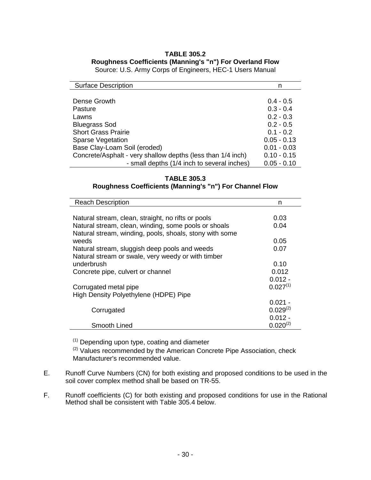## **TABLE 305.2 Roughness Coefficients (Manning's "n") For Overland Flow**

|  |  | Source: U.S. Army Corps of Engineers, HEC-1 Users Manual |
|--|--|----------------------------------------------------------|
|  |  |                                                          |

| <b>Surface Description</b>                                  | n             |
|-------------------------------------------------------------|---------------|
|                                                             |               |
| Dense Growth                                                | $0.4 - 0.5$   |
| Pasture                                                     | $0.3 - 0.4$   |
| Lawns                                                       | $0.2 - 0.3$   |
| <b>Bluegrass Sod</b>                                        | $0.2 - 0.5$   |
| <b>Short Grass Prairie</b>                                  | $0.1 - 0.2$   |
| <b>Sparse Vegetation</b>                                    | $0.05 - 0.13$ |
| Base Clay-Loam Soil (eroded)                                | $0.01 - 0.03$ |
| Concrete/Asphalt - very shallow depths (less than 1/4 inch) | $0.10 - 0.15$ |
| - small depths (1/4 inch to several inches)                 | $0.05 - 0.10$ |

#### **TABLE 305.3 Roughness Coefficients (Manning's "n") For Channel Flow**

| <b>Reach Description</b>                                | n             |
|---------------------------------------------------------|---------------|
|                                                         |               |
| Natural stream, clean, straight, no rifts or pools      | 0.03          |
| Natural stream, clean, winding, some pools or shoals    | 0.04          |
| Natural stream, winding, pools, shoals, stony with some |               |
| weeds                                                   | 0.05          |
| Natural stream, sluggish deep pools and weeds           | 0.07          |
| Natural stream or swale, very weedy or with timber      |               |
| underbrush                                              | 0.10          |
| Concrete pipe, culvert or channel                       | 0.012         |
|                                                         | $0.012 -$     |
| Corrugated metal pipe                                   | $0.027^{(1)}$ |
| High Density Polyethylene (HDPE) Pipe                   |               |
|                                                         | $0.021 -$     |
| Corrugated                                              | $0.029^{(2)}$ |
|                                                         | $0.012 -$     |
| Smooth Lined                                            | $0.020^{(2)}$ |

(1) Depending upon type, coating and diameter

<sup>(2)</sup> Values recommended by the American Concrete Pipe Association, check Manufacturer's recommended value.

- E. Runoff Curve Numbers (CN) for both existing and proposed conditions to be used in the soil cover complex method shall be based on TR-55.
- F. Runoff coefficients (C) for both existing and proposed conditions for use in the Rational Method shall be consistent with Table 305.4 below.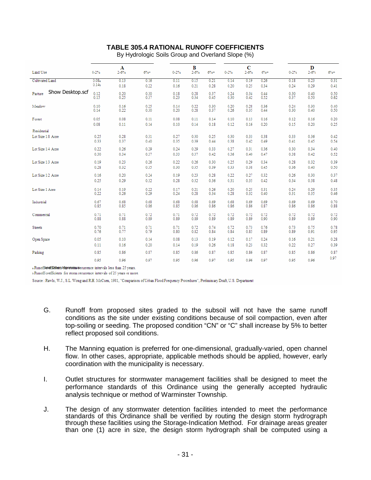#### **TABLE 305.4 RATIONAL RUNOFF COEFFICIENTS**

| By Hydrologic Soils Group and Overland Slope (%) |
|--------------------------------------------------|
|--------------------------------------------------|

| Land Use          | $0 - 2%$          | Α<br>$2 - 6%$ | $6%+$ | $0 - 2%$ | B<br>2.6% | $6% +$ | $0 - 2%$ | $\mathbf C$<br>$2 - 6%$ | $6%+$ | $0 - 2\%$ | D<br>2.6% | $6% +$ |  |
|-------------------|-------------------|---------------|-------|----------|-----------|--------|----------|-------------------------|-------|-----------|-----------|--------|--|
| Cultivated Land   | 0.08 <sub>a</sub> | 0.13          | 0.16  | 0.11     | 0.15      | 0.21   | 0.14     | 0.19                    | 0.26  | 0.18      | 0.23      | 0.31   |  |
|                   | 0.14 <sub>b</sub> | 0.18          | 0.22  | 0.16     | 0.21      | 0.28   | 0.20     | 0.25                    | 0.34  | 0.24      | 0.29      | 0.41   |  |
| Show Desktop.scf  | 0.12              | 0.20          | 0.30  | 0.18     | 0.28      | 0.37   | 0.24     | 0.34                    | 0.44  | 0.30      | 0.40      | 0.50   |  |
| Pasture           | 0.15              | 0.25          | 0.37  | 0.23     | 0.34      | 0.45   | 0.30     | 0.42                    | 0.52  | 0.37      | 0.50      | 0.62   |  |
| Meadow            | 0.10              | 0.16          | 0.25  | 0.14     | 0.22      | 0.30   | 0.20     | 0.28                    | 0.36  | 0.24      | 0.30      | 0.40   |  |
|                   | 0.14              | 0.22          | 0.30  | 0.20     | 0.28      | 0.37   | 0.26     | 0.35                    | 0.44  | 0.30      | 0.40      | 0.50   |  |
| Forest            | 0.05              | 0.08          | 0.11  | 0.08     | 0.11      | 0.14   | 0.10     | 0.13                    | 0.16  | 0.12      | 0.16      | 0.20   |  |
|                   | 0.08              | 0.11          | 0.14  | 0.10     | 0.14      | 0.18   | 0.12     | 0.16                    | 0.20  | 0.15      | 0.20      | 0.25   |  |
| Residential       |                   |               |       |          |           |        |          |                         |       |           |           |        |  |
| Lot Size 1/8 Acre | 0.25              | 0.28          | 0.31  | 0.27     | 0.30      | 0.25   | 0.30     | 0.33                    | 0.38  | 0.33      | 0.36      | 0.42   |  |
|                   | 0.33              | 0.37          | 0.40  | 0.35     | 0.39      | 0.44   | 0.38     | 0.42                    | 0.49  | 0.41      | 0.45      | 0.54   |  |
| Lot Size 1/4 Acre | 0.22              | 0.26          | 0.29  | 0.24     | 0.29      | 0.33   | 0.27     | 0.31                    | 0.36  | 0.30      | 0.34      | 0.40   |  |
|                   | 0.30              | 0.34          | 0.37  | 0.33     | 0.37      | 0.42   | 0.36     | 0.40                    | 0.47  | 0.38      | 0.42      | 0.52   |  |
| Lot Size 1/3 Acre | 0.19              | 0.23          | 0.26  | 0.22     | 0.26      | 0.30   | 0.25     | 0.29                    | 0.34  | 0.28      | 0.32      | 0.39   |  |
|                   | 0.28              | 0.32          | 0.35  | 0.30     | 0.35      | 0.39   | 0.33     | 0.38                    | 0.45  | 0.36      | 0.40      | 0.50   |  |
| Lot Size 1/2 Acre | 0.16              | 0.20          | 0.24  | 0.19     | 0.23      | 0.28   | 0.22     | 0.27                    | 0.32  | 0.26      | 0.30      | 0.37   |  |
|                   | 0.25              | 0.29          | 0.32  | 0.28     | 0.32      | 0.36   | 0.31     | 0.35                    | 0.42  | 0.34      | 0.38      | 0.48   |  |
| Lot Size 1 Acre   | 0.14              | 0.19          | 0.22  | 0.17     | 0.21      | 0.26   | 0.20     | 0.25                    | 0.31  | 0.24      | 0.29      | 0.35   |  |
|                   | 0.22              | 0.26          | 0.29  | 0.24     | 0.28      | 0.34   | 0.28     | 0.32                    | 0.40  | 0.31      | 0.35      | 0.46   |  |
| Industrial        | 0.67              | 0.68          | 0.68  | 0.68     | 0.68      | 0.69   | 0.68     | 0.69                    | 0.69  | 0.69      | 0.69      | 0.70   |  |
|                   | 0.85              | 0.85          | 0.86  | 0.85     | 0.86      | 0.86   | 0.86     | 0.86                    | 0.87  | 0.86      | 0.86      | 0.88   |  |
| Commercial        | 0.71              | 0.71          | 0.72  | 0.71     | 0.72      | 0.72   | 0.72     | 0.72                    | 0.72  | 0.72      | 0.72      | 0.72   |  |
|                   | 0.88              | 0.88          | 0.89  | 0.89     | 0.89      | 0.89   | 0.89     | 0.89                    | 0.90  | 0.89      | 0.89      | 0.90   |  |
| <b>Streets</b>    | 0.70              | 0.71          | 0.71  | 0.71     | 0.72      | 0.74   | 0.72     | 0.73                    | 0.76  | 0.73      | 0.75      | 0.78   |  |
|                   | 0.76              | 0.77          | 0.79  | 0.80     | 0.82      | 0.84   | 0.84     | 0.85                    | 0.89  | 0.89      | 0.91      | 0.95   |  |
| Open Space        | 0.05              | 0.10          | 0.14  | 0.08     | 0.13      | 0.19   | 0.12     | 0.17                    | 0.24  | 0.16      | 0.21      | 0.28   |  |
|                   | 0.11              | 0.16          | 0.20  | 0.14     | 0.19      | 0.26   | 0.18     | 0.23                    | 0.32  | 0.22      | 0.27      | 0.39   |  |
| Parking           | 0.85              | 0.86          | 0.87  | 0.85     | 0.86      | 0.87   | 0.85     | 0.86                    | 0.87  | 0.85      | 0.86      | 0.87   |  |
|                   | 0.95              | 0.96          | 0.97  | 0.95     | 0.96      | 0.97   | 0.95     | 0.96                    | 0.97  | 0.95      | 0.96      | 0.97   |  |

«Runoffanet@thersimperviousecurrence intervals less than 25 years.

& Runoff coefficients for storm recurrence intervals of 25 years or more.

Source : Rawls, W.J., S.L. Wong and R.H. McCuen, 1981, "Comparison of Urban Flood Frequency Procedures", Preliminary Draft, U.S. Department

- G. Runoff from proposed sites graded to the subsoil will not have the same runoff conditions as the site under existing conditions because of soil compaction, even after top-soiling or seeding. The proposed condition "CN" or "C" shall increase by 5% to better reflect proposed soil conditions.
- H. The Manning equation is preferred for one-dimensional, gradually-varied, open channel flow. In other cases, appropriate, applicable methods should be applied, however, early coordination with the municipality is necessary.
- I. Outlet structures for stormwater management facilities shall be designed to meet the performance standards of this Ordinance using the generally accepted hydraulic analysis technique or method of Warminster Township.
- J. The design of any stormwater detention facilities intended to meet the performance standards of this Ordinance shall be verified by routing the design storm hydrograph through these facilities using the Storage-Indication Method. For drainage areas greater than one (1) acre in size, the design storm hydrograph shall be computed using a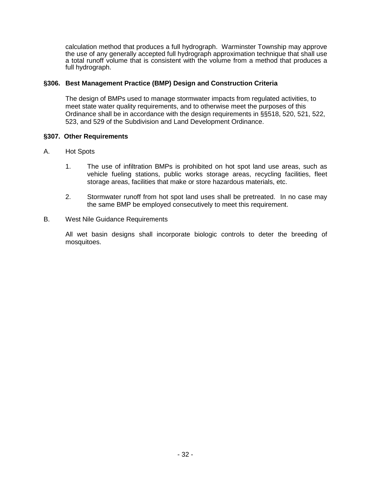calculation method that produces a full hydrograph. Warminster Township may approve the use of any generally accepted full hydrograph approximation technique that shall use a total runoff volume that is consistent with the volume from a method that produces a full hydrograph.

#### **§306. Best Management Practice (BMP) Design and Construction Criteria**

The design of BMPs used to manage stormwater impacts from regulated activities, to meet state water quality requirements, and to otherwise meet the purposes of this Ordinance shall be in accordance with the design requirements in §§518, 520, 521, 522, 523, and 529 of the Subdivision and Land Development Ordinance.

#### **§307. Other Requirements**

- A. Hot Spots
	- 1. The use of infiltration BMPs is prohibited on hot spot land use areas, such as vehicle fueling stations, public works storage areas, recycling facilities, fleet storage areas, facilities that make or store hazardous materials, etc.
	- 2. Stormwater runoff from hot spot land uses shall be pretreated. In no case may the same BMP be employed consecutively to meet this requirement.

#### B. West Nile Guidance Requirements

All wet basin designs shall incorporate biologic controls to deter the breeding of mosquitoes.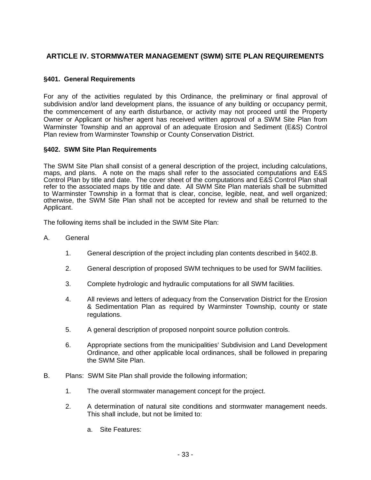## **ARTICLE IV. STORMWATER MANAGEMENT (SWM) SITE PLAN REQUIREMENTS**

#### **§401. General Requirements**

For any of the activities regulated by this Ordinance, the preliminary or final approval of subdivision and/or land development plans, the issuance of any building or occupancy permit, the commencement of any earth disturbance, or activity may not proceed until the Property Owner or Applicant or his/her agent has received written approval of a SWM Site Plan from Warminster Township and an approval of an adequate Erosion and Sediment (E&S) Control Plan review from Warminster Township or County Conservation District.

#### **§402. SWM Site Plan Requirements**

The SWM Site Plan shall consist of a general description of the project, including calculations, maps, and plans. A note on the maps shall refer to the associated computations and E&S Control Plan by title and date. The cover sheet of the computations and E&S Control Plan shall refer to the associated maps by title and date. All SWM Site Plan materials shall be submitted to Warminster Township in a format that is clear, concise, legible, neat, and well organized; otherwise, the SWM Site Plan shall not be accepted for review and shall be returned to the Applicant.

The following items shall be included in the SWM Site Plan:

- A. General
	- 1. General description of the project including plan contents described in §402.B.
	- 2. General description of proposed SWM techniques to be used for SWM facilities.
	- 3. Complete hydrologic and hydraulic computations for all SWM facilities.
	- 4. All reviews and letters of adequacy from the Conservation District for the Erosion & Sedimentation Plan as required by Warminster Township, county or state regulations.
	- 5. A general description of proposed nonpoint source pollution controls.
	- 6. Appropriate sections from the municipalities' Subdivision and Land Development Ordinance, and other applicable local ordinances, shall be followed in preparing the SWM Site Plan.
- B. Plans: SWM Site Plan shall provide the following information;
	- 1. The overall stormwater management concept for the project.
	- 2. A determination of natural site conditions and stormwater management needs. This shall include, but not be limited to:
		- a. Site Features: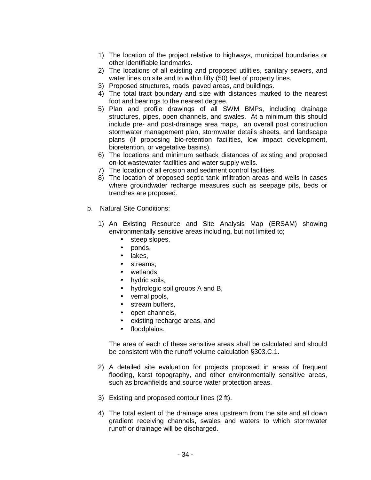- 1) The location of the project relative to highways, municipal boundaries or other identifiable landmarks.
- 2) The locations of all existing and proposed utilities, sanitary sewers, and water lines on site and to within fifty (50) feet of property lines.
- 3) Proposed structures, roads, paved areas, and buildings.
- 4) The total tract boundary and size with distances marked to the nearest foot and bearings to the nearest degree.
- 5) Plan and profile drawings of all SWM BMPs, including drainage structures, pipes, open channels, and swales. At a minimum this should include pre- and post-drainage area maps, an overall post construction stormwater management plan, stormwater details sheets, and landscape plans (if proposing bio-retention facilities, low impact development, bioretention, or vegetative basins).
- 6) The locations and minimum setback distances of existing and proposed on-lot wastewater facilities and water supply wells.
- 7) The location of all erosion and sediment control facilities.
- 8) The location of proposed septic tank infiltration areas and wells in cases where groundwater recharge measures such as seepage pits, beds or trenches are proposed.
- b. Natural Site Conditions:
	- 1) An Existing Resource and Site Analysis Map (ERSAM) showing environmentally sensitive areas including, but not limited to;
		- steep slopes,
		- ponds,
		- lakes,
		- streams.
		- wetlands.
		- hydric soils,
		- hydrologic soil groups A and B,
		- vernal pools,
		- stream buffers.
		- open channels,
		- existing recharge areas, and
		- floodplains.

The area of each of these sensitive areas shall be calculated and should be consistent with the runoff volume calculation §303.C.1.

- 2) A detailed site evaluation for projects proposed in areas of frequent flooding, karst topography, and other environmentally sensitive areas, such as brownfields and source water protection areas.
- 3) Existing and proposed contour lines (2 ft).
- 4) The total extent of the drainage area upstream from the site and all down gradient receiving channels, swales and waters to which stormwater runoff or drainage will be discharged.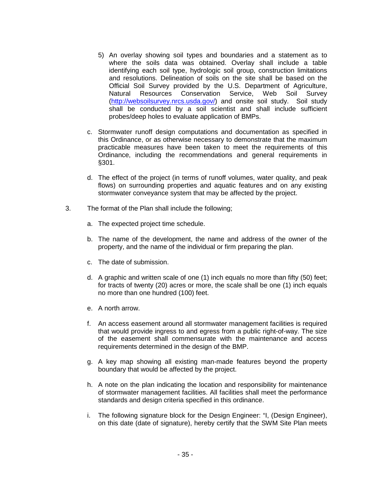- 5) An overlay showing soil types and boundaries and a statement as to where the soils data was obtained. Overlay shall include a table identifying each soil type, hydrologic soil group, construction limitations and resolutions. Delineation of soils on the site shall be based on the Official Soil Survey provided by the U.S. Department of Agriculture, Natural Resources Conservation Service, Web Soil Survey (http://websoilsurvey.nrcs.usda.gov/) and onsite soil study. Soil study shall be conducted by a soil scientist and shall include sufficient probes/deep holes to evaluate application of BMPs.
- c. Stormwater runoff design computations and documentation as specified in this Ordinance, or as otherwise necessary to demonstrate that the maximum practicable measures have been taken to meet the requirements of this Ordinance, including the recommendations and general requirements in §301.
- d. The effect of the project (in terms of runoff volumes, water quality, and peak flows) on surrounding properties and aquatic features and on any existing stormwater conveyance system that may be affected by the project.
- 3. The format of the Plan shall include the following;
	- a. The expected project time schedule.
	- b. The name of the development, the name and address of the owner of the property, and the name of the individual or firm preparing the plan.
	- c. The date of submission.
	- d. A graphic and written scale of one (1) inch equals no more than fifty (50) feet; for tracts of twenty (20) acres or more, the scale shall be one (1) inch equals no more than one hundred (100) feet.
	- e. A north arrow.
	- f. An access easement around all stormwater management facilities is required that would provide ingress to and egress from a public right-of-way. The size of the easement shall commensurate with the maintenance and access requirements determined in the design of the BMP.
	- g. A key map showing all existing man-made features beyond the property boundary that would be affected by the project.
	- h. A note on the plan indicating the location and responsibility for maintenance of stormwater management facilities. All facilities shall meet the performance standards and design criteria specified in this ordinance.
	- i. The following signature block for the Design Engineer: "I, (Design Engineer), on this date (date of signature), hereby certify that the SWM Site Plan meets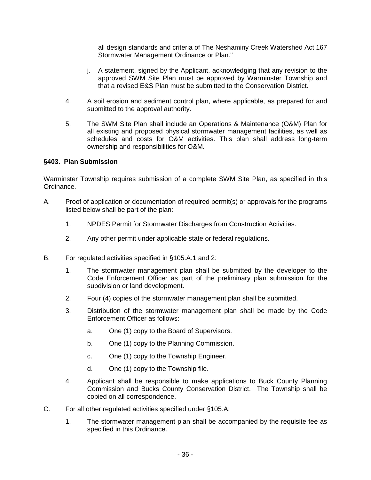all design standards and criteria of The Neshaminy Creek Watershed Act 167 Stormwater Management Ordinance or Plan."

- j. A statement, signed by the Applicant, acknowledging that any revision to the approved SWM Site Plan must be approved by Warminster Township and that a revised E&S Plan must be submitted to the Conservation District.
- 4. A soil erosion and sediment control plan, where applicable, as prepared for and submitted to the approval authority.
- 5. The SWM Site Plan shall include an Operations & Maintenance (O&M) Plan for all existing and proposed physical stormwater management facilities, as well as schedules and costs for O&M activities. This plan shall address long-term ownership and responsibilities for O&M.

#### **§403. Plan Submission**

Warminster Township requires submission of a complete SWM Site Plan, as specified in this Ordinance.

- A. Proof of application or documentation of required permit(s) or approvals for the programs listed below shall be part of the plan:
	- 1. NPDES Permit for Stormwater Discharges from Construction Activities.
	- 2. Any other permit under applicable state or federal regulations.
- B. For regulated activities specified in §105.A.1 and 2:
	- 1. The stormwater management plan shall be submitted by the developer to the Code Enforcement Officer as part of the preliminary plan submission for the subdivision or land development.
	- 2. Four (4) copies of the stormwater management plan shall be submitted.
	- 3. Distribution of the stormwater management plan shall be made by the Code Enforcement Officer as follows:
		- a. One (1) copy to the Board of Supervisors.
		- b. One (1) copy to the Planning Commission.
		- c. One (1) copy to the Township Engineer.
		- d. One (1) copy to the Township file.
	- 4. Applicant shall be responsible to make applications to Buck County Planning Commission and Bucks County Conservation District. The Township shall be copied on all correspondence.
- C. For all other regulated activities specified under §105.A:
	- 1. The stormwater management plan shall be accompanied by the requisite fee as specified in this Ordinance.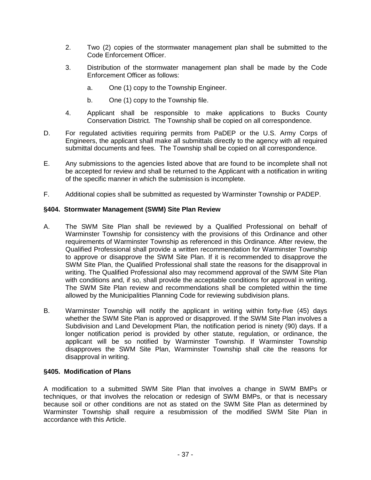- 2. Two (2) copies of the stormwater management plan shall be submitted to the Code Enforcement Officer.
- 3. Distribution of the stormwater management plan shall be made by the Code Enforcement Officer as follows:
	- a. One (1) copy to the Township Engineer.
	- b. One (1) copy to the Township file.
- 4. Applicant shall be responsible to make applications to Bucks County Conservation District. The Township shall be copied on all correspondence.
- D. For regulated activities requiring permits from PaDEP or the U.S. Army Corps of Engineers, the applicant shall make all submittals directly to the agency with all required submittal documents and fees. The Township shall be copied on all correspondence.
- E. Any submissions to the agencies listed above that are found to be incomplete shall not be accepted for review and shall be returned to the Applicant with a notification in writing of the specific manner in which the submission is incomplete.
- F. Additional copies shall be submitted as requested by Warminster Township or PADEP.

#### **§404. Stormwater Management (SWM) Site Plan Review**

- A. The SWM Site Plan shall be reviewed by a Qualified Professional on behalf of Warminster Township for consistency with the provisions of this Ordinance and other requirements of Warminster Township as referenced in this Ordinance. After review, the Qualified Professional shall provide a written recommendation for Warminster Township to approve or disapprove the SWM Site Plan. If it is recommended to disapprove the SWM Site Plan, the Qualified Professional shall state the reasons for the disapproval in writing. The Qualified Professional also may recommend approval of the SWM Site Plan with conditions and, if so, shall provide the acceptable conditions for approval in writing. The SWM Site Plan review and recommendations shall be completed within the time allowed by the Municipalities Planning Code for reviewing subdivision plans.
- B. Warminster Township will notify the applicant in writing within forty-five (45) days whether the SWM Site Plan is approved or disapproved. If the SWM Site Plan involves a Subdivision and Land Development Plan, the notification period is ninety (90) days. If a longer notification period is provided by other statute, regulation, or ordinance, the applicant will be so notified by Warminster Township. If Warminster Township disapproves the SWM Site Plan, Warminster Township shall cite the reasons for disapproval in writing.

#### **§405. Modification of Plans**

A modification to a submitted SWM Site Plan that involves a change in SWM BMPs or techniques, or that involves the relocation or redesign of SWM BMPs, or that is necessary because soil or other conditions are not as stated on the SWM Site Plan as determined by Warminster Township shall require a resubmission of the modified SWM Site Plan in accordance with this Article.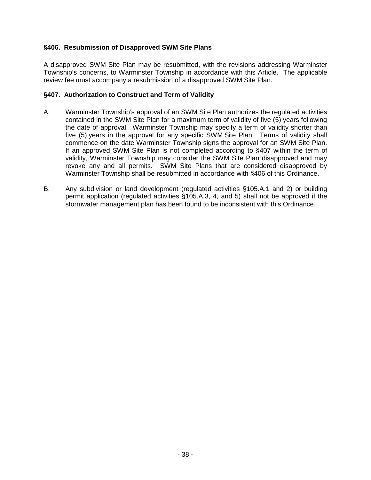#### **§406. Resubmission of Disapproved SWM Site Plans**

A disapproved SWM Site Plan may be resubmitted, with the revisions addressing Warminster Township's concerns, to Warminster Township in accordance with this Article. The applicable review fee must accompany a resubmission of a disapproved SWM Site Plan.

#### **§407. Authorization to Construct and Term of Validity**

- A. Warminster Township's approval of an SWM Site Plan authorizes the regulated activities contained in the SWM Site Plan for a maximum term of validity of five (5) years following the date of approval. Warminster Township may specify a term of validity shorter than five (5) years in the approval for any specific SWM Site Plan. Terms of validity shall commence on the date Warminster Township signs the approval for an SWM Site Plan. If an approved SWM Site Plan is not completed according to §407 within the term of validity, Warminster Township may consider the SWM Site Plan disapproved and may revoke any and all permits. SWM Site Plans that are considered disapproved by Warminster Township shall be resubmitted in accordance with §406 of this Ordinance.
- B. Any subdivision or land development (regulated activities §105.A.1 and 2) or building permit application (regulated activities §105.A.3, 4, and 5) shall not be approved if the stormwater management plan has been found to be inconsistent with this Ordinance.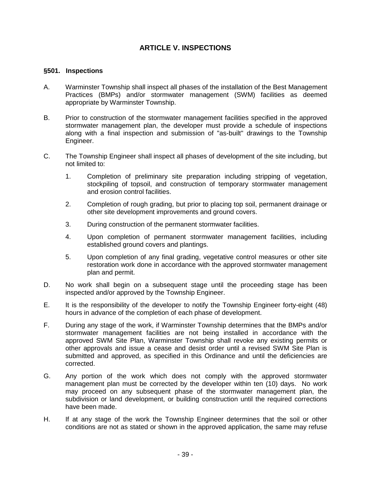## **ARTICLE V. INSPECTIONS**

#### **§501. Inspections**

- A. Warminster Township shall inspect all phases of the installation of the Best Management Practices (BMPs) and/or stormwater management (SWM) facilities as deemed appropriate by Warminster Township.
- B. Prior to construction of the stormwater management facilities specified in the approved stormwater management plan, the developer must provide a schedule of inspections along with a final inspection and submission of "as-built" drawings to the Township Engineer.
- C. The Township Engineer shall inspect all phases of development of the site including, but not limited to:
	- 1. Completion of preliminary site preparation including stripping of vegetation, stockpiling of topsoil, and construction of temporary stormwater management and erosion control facilities.
	- 2. Completion of rough grading, but prior to placing top soil, permanent drainage or other site development improvements and ground covers.
	- 3. During construction of the permanent stormwater facilities.
	- 4. Upon completion of permanent stormwater management facilities, including established ground covers and plantings.
	- 5. Upon completion of any final grading, vegetative control measures or other site restoration work done in accordance with the approved stormwater management plan and permit.
- D. No work shall begin on a subsequent stage until the proceeding stage has been inspected and/or approved by the Township Engineer.
- E. It is the responsibility of the developer to notify the Township Engineer forty-eight (48) hours in advance of the completion of each phase of development.
- F. During any stage of the work, if Warminster Township determines that the BMPs and/or stormwater management facilities are not being installed in accordance with the approved SWM Site Plan, Warminster Township shall revoke any existing permits or other approvals and issue a cease and desist order until a revised SWM Site Plan is submitted and approved, as specified in this Ordinance and until the deficiencies are corrected.
- G. Any portion of the work which does not comply with the approved stormwater management plan must be corrected by the developer within ten (10) days. No work may proceed on any subsequent phase of the stormwater management plan, the subdivision or land development, or building construction until the required corrections have been made.
- H. If at any stage of the work the Township Engineer determines that the soil or other conditions are not as stated or shown in the approved application, the same may refuse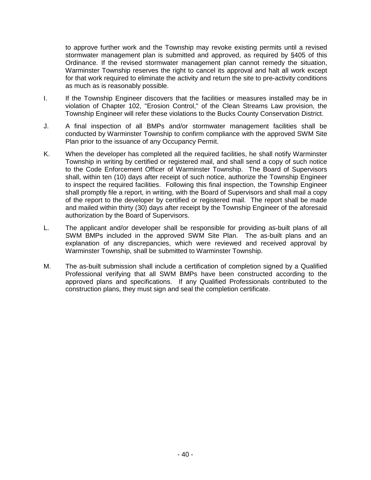to approve further work and the Township may revoke existing permits until a revised stormwater management plan is submitted and approved, as required by §405 of this Ordinance. If the revised stormwater management plan cannot remedy the situation, Warminster Township reserves the right to cancel its approval and halt all work except for that work required to eliminate the activity and return the site to pre-activity conditions as much as is reasonably possible.

- I. If the Township Engineer discovers that the facilities or measures installed may be in violation of Chapter 102, "Erosion Control," of the Clean Streams Law provision, the Township Engineer will refer these violations to the Bucks County Conservation District.
- J. A final inspection of all BMPs and/or stormwater management facilities shall be conducted by Warminster Township to confirm compliance with the approved SWM Site Plan prior to the issuance of any Occupancy Permit.
- K. When the developer has completed all the required facilities, he shall notify Warminster Township in writing by certified or registered mail, and shall send a copy of such notice to the Code Enforcement Officer of Warminster Township. The Board of Supervisors shall, within ten (10) days after receipt of such notice, authorize the Township Engineer to inspect the required facilities. Following this final inspection, the Township Engineer shall promptly file a report, in writing, with the Board of Supervisors and shall mail a copy of the report to the developer by certified or registered mail. The report shall be made and mailed within thirty (30) days after receipt by the Township Engineer of the aforesaid authorization by the Board of Supervisors.
- L. The applicant and/or developer shall be responsible for providing as-built plans of all SWM BMPs included in the approved SWM Site Plan. The as-built plans and an explanation of any discrepancies, which were reviewed and received approval by Warminster Township, shall be submitted to Warminster Township.
- M. The as-built submission shall include a certification of completion signed by a Qualified Professional verifying that all SWM BMPs have been constructed according to the approved plans and specifications. If any Qualified Professionals contributed to the construction plans, they must sign and seal the completion certificate.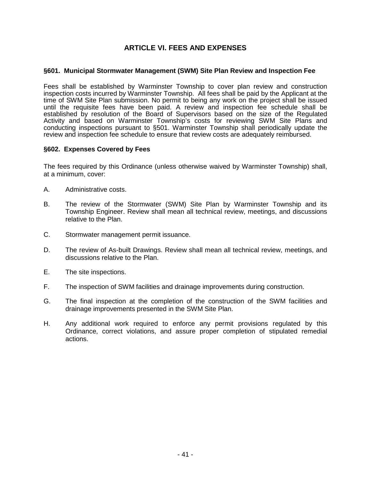## **ARTICLE VI. FEES AND EXPENSES**

#### **§601. Municipal Stormwater Management (SWM) Site Plan Review and Inspection Fee**

Fees shall be established by Warminster Township to cover plan review and construction inspection costs incurred by Warminster Township. All fees shall be paid by the Applicant at the time of SWM Site Plan submission. No permit to being any work on the project shall be issued until the requisite fees have been paid. A review and inspection fee schedule shall be established by resolution of the Board of Supervisors based on the size of the Regulated Activity and based on Warminster Township's costs for reviewing SWM Site Plans and conducting inspections pursuant to §501. Warminster Township shall periodically update the review and inspection fee schedule to ensure that review costs are adequately reimbursed.

#### **§602. Expenses Covered by Fees**

The fees required by this Ordinance (unless otherwise waived by Warminster Township) shall, at a minimum, cover:

- A. Administrative costs.
- B. The review of the Stormwater (SWM) Site Plan by Warminster Township and its Township Engineer. Review shall mean all technical review, meetings, and discussions relative to the Plan.
- C. Stormwater management permit issuance.
- D. The review of As-built Drawings. Review shall mean all technical review, meetings, and discussions relative to the Plan.
- E. The site inspections.
- F. The inspection of SWM facilities and drainage improvements during construction.
- G. The final inspection at the completion of the construction of the SWM facilities and drainage improvements presented in the SWM Site Plan.
- H. Any additional work required to enforce any permit provisions regulated by this Ordinance, correct violations, and assure proper completion of stipulated remedial actions.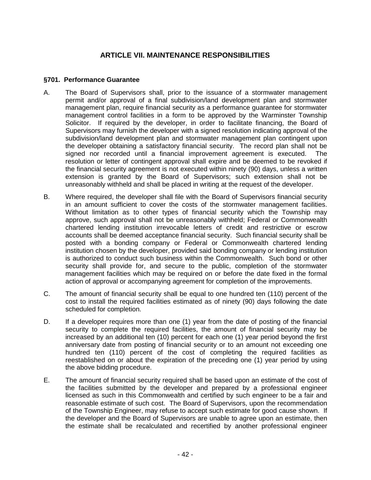## **ARTICLE VII. MAINTENANCE RESPONSIBILITIES**

#### **§701. Performance Guarantee**

- A. The Board of Supervisors shall, prior to the issuance of a stormwater management permit and/or approval of a final subdivision/land development plan and stormwater management plan, require financial security as a performance guarantee for stormwater management control facilities in a form to be approved by the Warminster Township Solicitor. If required by the developer, in order to facilitate financing, the Board of Supervisors may furnish the developer with a signed resolution indicating approval of the subdivision/land development plan and stormwater management plan contingent upon the developer obtaining a satisfactory financial security. The record plan shall not be signed nor recorded until a financial improvement agreement is executed. The resolution or letter of contingent approval shall expire and be deemed to be revoked if the financial security agreement is not executed within ninety (90) days, unless a written extension is granted by the Board of Supervisors; such extension shall not be unreasonably withheld and shall be placed in writing at the request of the developer.
- B. Where required, the developer shall file with the Board of Supervisors financial security in an amount sufficient to cover the costs of the stormwater management facilities. Without limitation as to other types of financial security which the Township may approve, such approval shall not be unreasonably withheld; Federal or Commonwealth chartered lending institution irrevocable letters of credit and restrictive or escrow accounts shall be deemed acceptance financial security. Such financial security shall be posted with a bonding company or Federal or Commonwealth chartered lending institution chosen by the developer, provided said bonding company or lending institution is authorized to conduct such business within the Commonwealth. Such bond or other security shall provide for, and secure to the public, completion of the stormwater management facilities which may be required on or before the date fixed in the formal action of approval or accompanying agreement for completion of the improvements.
- C. The amount of financial security shall be equal to one hundred ten (110) percent of the cost to install the required facilities estimated as of ninety (90) days following the date scheduled for completion.
- D. If a developer requires more than one (1) year from the date of posting of the financial security to complete the required facilities, the amount of financial security may be increased by an additional ten (10) percent for each one (1) year period beyond the first anniversary date from posting of financial security or to an amount not exceeding one hundred ten (110) percent of the cost of completing the required facilities as reestablished on or about the expiration of the preceding one (1) year period by using the above bidding procedure.
- E. The amount of financial security required shall be based upon an estimate of the cost of the facilities submitted by the developer and prepared by a professional engineer licensed as such in this Commonwealth and certified by such engineer to be a fair and reasonable estimate of such cost. The Board of Supervisors, upon the recommendation of the Township Engineer, may refuse to accept such estimate for good cause shown. If the developer and the Board of Supervisors are unable to agree upon an estimate, then the estimate shall be recalculated and recertified by another professional engineer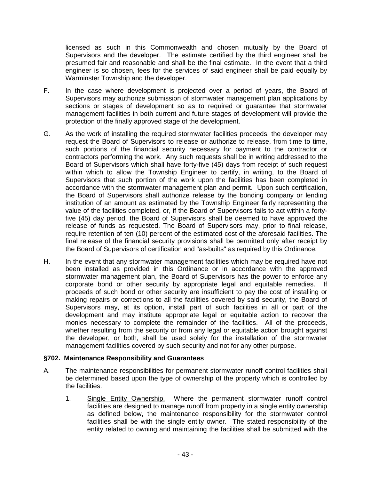licensed as such in this Commonwealth and chosen mutually by the Board of Supervisors and the developer. The estimate certified by the third engineer shall be presumed fair and reasonable and shall be the final estimate. In the event that a third engineer is so chosen, fees for the services of said engineer shall be paid equally by Warminster Township and the developer.

- F. In the case where development is projected over a period of years, the Board of Supervisors may authorize submission of stormwater management plan applications by sections or stages of development so as to required or guarantee that stormwater management facilities in both current and future stages of development will provide the protection of the finally approved stage of the development.
- G. As the work of installing the required stormwater facilities proceeds, the developer may request the Board of Supervisors to release or authorize to release, from time to time, such portions of the financial security necessary for payment to the contractor or contractors performing the work. Any such requests shall be in writing addressed to the Board of Supervisors which shall have forty-five (45) days from receipt of such request within which to allow the Township Engineer to certify, in writing, to the Board of Supervisors that such portion of the work upon the facilities has been completed in accordance with the stormwater management plan and permit. Upon such certification, the Board of Supervisors shall authorize release by the bonding company or lending institution of an amount as estimated by the Township Engineer fairly representing the value of the facilities completed, or, if the Board of Supervisors fails to act within a fortyfive (45) day period, the Board of Supervisors shall be deemed to have approved the release of funds as requested. The Board of Supervisors may, prior to final release, require retention of ten (10) percent of the estimated cost of the aforesaid facilities. The final release of the financial security provisions shall be permitted only after receipt by the Board of Supervisors of certification and "as-builts" as required by this Ordinance.
- H. In the event that any stormwater management facilities which may be required have not been installed as provided in this Ordinance or in accordance with the approved stormwater management plan, the Board of Supervisors has the power to enforce any corporate bond or other security by appropriate legal and equitable remedies. If proceeds of such bond or other security are insufficient to pay the cost of installing or making repairs or corrections to all the facilities covered by said security, the Board of Supervisors may, at its option, install part of such facilities in all or part of the development and may institute appropriate legal or equitable action to recover the monies necessary to complete the remainder of the facilities. All of the proceeds, whether resulting from the security or from any legal or equitable action brought against the developer, or both, shall be used solely for the installation of the stormwater management facilities covered by such security and not for any other purpose.

#### **§702. Maintenance Responsibility and Guarantees**

- A. The maintenance responsibilities for permanent stormwater runoff control facilities shall be determined based upon the type of ownership of the property which is controlled by the facilities.
	- 1. Single Entity Ownership. Where the permanent stormwater runoff control facilities are designed to manage runoff from property in a single entity ownership as defined below, the maintenance responsibility for the stormwater control facilities shall be with the single entity owner. The stated responsibility of the entity related to owning and maintaining the facilities shall be submitted with the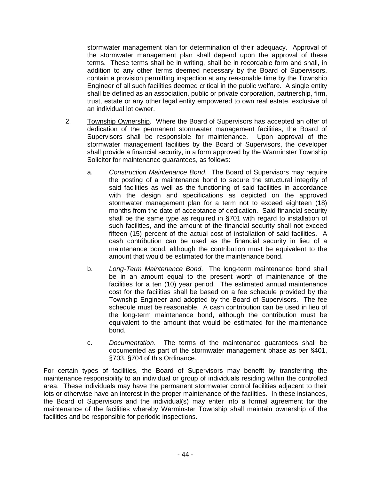stormwater management plan for determination of their adequacy. Approval of the stormwater management plan shall depend upon the approval of these terms. These terms shall be in writing, shall be in recordable form and shall, in addition to any other terms deemed necessary by the Board of Supervisors, contain a provision permitting inspection at any reasonable time by the Township Engineer of all such facilities deemed critical in the public welfare. A single entity shall be defined as an association, public or private corporation, partnership, firm, trust, estate or any other legal entity empowered to own real estate, exclusive of an individual lot owner.

- 2. Township Ownership. Where the Board of Supervisors has accepted an offer of dedication of the permanent stormwater management facilities, the Board of Supervisors shall be responsible for maintenance. Upon approval of the stormwater management facilities by the Board of Supervisors, the developer shall provide a financial security, in a form approved by the Warminster Township Solicitor for maintenance guarantees, as follows:
	- a. Construction Maintenance Bond. The Board of Supervisors may require the posting of a maintenance bond to secure the structural integrity of said facilities as well as the functioning of said facilities in accordance with the design and specifications as depicted on the approved stormwater management plan for a term not to exceed eighteen (18) months from the date of acceptance of dedication. Said financial security shall be the same type as required in §701 with regard to installation of such facilities, and the amount of the financial security shall not exceed fifteen (15) percent of the actual cost of installation of said facilities. A cash contribution can be used as the financial security in lieu of a maintenance bond, although the contribution must be equivalent to the amount that would be estimated for the maintenance bond.
	- b. Long-Term Maintenance Bond. The long-term maintenance bond shall be in an amount equal to the present worth of maintenance of the facilities for a ten (10) year period. The estimated annual maintenance cost for the facilities shall be based on a fee schedule provided by the Township Engineer and adopted by the Board of Supervisors. The fee schedule must be reasonable. A cash contribution can be used in lieu of the long-term maintenance bond, although the contribution must be equivalent to the amount that would be estimated for the maintenance bond.
	- c. Documentation. The terms of the maintenance guarantees shall be documented as part of the stormwater management phase as per §401, §703, §704 of this Ordinance.

For certain types of facilities, the Board of Supervisors may benefit by transferring the maintenance responsibility to an individual or group of individuals residing within the controlled area. These individuals may have the permanent stormwater control facilities adjacent to their lots or otherwise have an interest in the proper maintenance of the facilities. In these instances, the Board of Supervisors and the individual(s) may enter into a formal agreement for the maintenance of the facilities whereby Warminster Township shall maintain ownership of the facilities and be responsible for periodic inspections.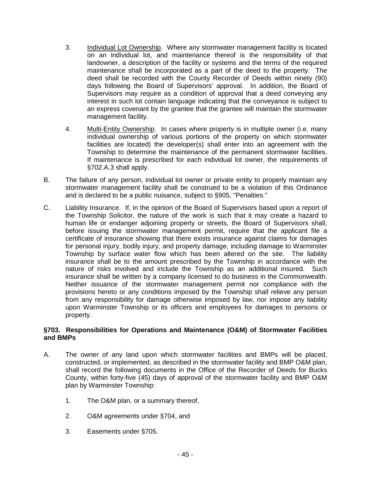- 3. Individual Lot Ownership. Where any stormwater management facility is located on an individual lot, and maintenance thereof is the responsibility of that landowner, a description of the facility or systems and the terms of the required maintenance shall be incorporated as a part of the deed to the property. The deed shall be recorded with the County Recorder of Deeds within ninety (90) days following the Board of Supervisors' approval. In addition, the Board of Supervisors may require as a condition of approval that a deed conveying any interest in such lot contain language indicating that the conveyance is subject to an express covenant by the grantee that the grantee will maintain the stormwater management facility.
- 4. Multi-Entity Ownership. In cases where property is in multiple owner (i.e. many individual ownership of various portions of the property on which stormwater facilities are located) the developer(s) shall enter into an agreement with the Township to determine the maintenance of the permanent stormwater facilities. If maintenance is prescribed for each individual lot owner, the requirements of §702.A.3 shall apply.
- B. The failure of any person, individual lot owner or private entity to properly maintain any stormwater management facility shall be construed to be a violation of this Ordinance and is declared to be a public nuisance, subject to §905, "Penalties."
- C. Liability Insurance. If, in the opinion of the Board of Supervisors based upon a report of the Township Solicitor, the nature of the work is such that it may create a hazard to human life or endanger adjoining property or streets, the Board of Supervisors shall, before issuing the stormwater management permit, require that the applicant file a certificate of insurance showing that there exists insurance against claims for damages for personal injury, bodily injury, and property damage, including damage to Warminster Township by surface water flow which has been altered on the site. The liability insurance shall be to the amount prescribed by the Township in accordance with the nature of risks involved and include the Township as an additional insured. Such insurance shall be written by a company licensed to do business in the Commonwealth. Neither issuance of the stormwater management permit nor compliance with the provisions hereto or any conditions imposed by the Township shall relieve any person from any responsibility for damage otherwise imposed by law, nor impose any liability upon Warminster Township or its officers and employees for damages to persons or property.

#### **§703. Responsibilities for Operations and Maintenance (O&M) of Stormwater Facilities and BMPs**

- A. The owner of any land upon which stormwater facilities and BMPs will be placed, constructed, or implemented, as described in the stormwater facility and BMP O&M plan, shall record the following documents in the Office of the Recorder of Deeds for Bucks County, within forty-five (45) days of approval of the stormwater facility and BMP O&M plan by Warminster Township:
	- 1. The O&M plan, or a summary thereof,
	- 2. O&M agreements under §704, and
	- 3. Easements under §705.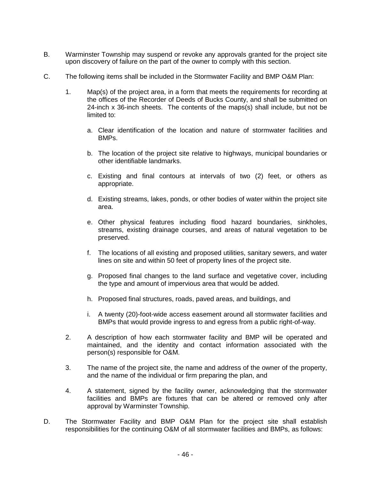- B. Warminster Township may suspend or revoke any approvals granted for the project site upon discovery of failure on the part of the owner to comply with this section.
- C. The following items shall be included in the Stormwater Facility and BMP O&M Plan:
	- 1. Map(s) of the project area, in a form that meets the requirements for recording at the offices of the Recorder of Deeds of Bucks County, and shall be submitted on 24-inch x 36-inch sheets. The contents of the maps(s) shall include, but not be limited to:
		- a. Clear identification of the location and nature of stormwater facilities and BMPs.
		- b. The location of the project site relative to highways, municipal boundaries or other identifiable landmarks.
		- c. Existing and final contours at intervals of two (2) feet, or others as appropriate.
		- d. Existing streams, lakes, ponds, or other bodies of water within the project site area.
		- e. Other physical features including flood hazard boundaries, sinkholes, streams, existing drainage courses, and areas of natural vegetation to be preserved.
		- f. The locations of all existing and proposed utilities, sanitary sewers, and water lines on site and within 50 feet of property lines of the project site.
		- g. Proposed final changes to the land surface and vegetative cover, including the type and amount of impervious area that would be added.
		- h. Proposed final structures, roads, paved areas, and buildings, and
		- i. A twenty (20)-foot-wide access easement around all stormwater facilities and BMPs that would provide ingress to and egress from a public right-of-way.
	- 2. A description of how each stormwater facility and BMP will be operated and maintained, and the identity and contact information associated with the person(s) responsible for O&M.
	- 3. The name of the project site, the name and address of the owner of the property, and the name of the individual or firm preparing the plan, and
	- 4. A statement, signed by the facility owner, acknowledging that the stormwater facilities and BMPs are fixtures that can be altered or removed only after approval by Warminster Township.
- D. The Stormwater Facility and BMP O&M Plan for the project site shall establish responsibilities for the continuing O&M of all stormwater facilities and BMPs, as follows: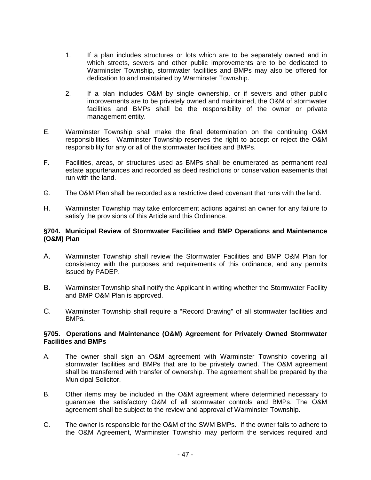- 1. If a plan includes structures or lots which are to be separately owned and in which streets, sewers and other public improvements are to be dedicated to Warminster Township, stormwater facilities and BMPs may also be offered for dedication to and maintained by Warminster Township.
- 2. If a plan includes O&M by single ownership, or if sewers and other public improvements are to be privately owned and maintained, the O&M of stormwater facilities and BMPs shall be the responsibility of the owner or private management entity.
- E. Warminster Township shall make the final determination on the continuing O&M responsibilities. Warminster Township reserves the right to accept or reject the O&M responsibility for any or all of the stormwater facilities and BMPs.
- F. Facilities, areas, or structures used as BMPs shall be enumerated as permanent real estate appurtenances and recorded as deed restrictions or conservation easements that run with the land.
- G. The O&M Plan shall be recorded as a restrictive deed covenant that runs with the land.
- H. Warminster Township may take enforcement actions against an owner for any failure to satisfy the provisions of this Article and this Ordinance.

#### **§704. Municipal Review of Stormwater Facilities and BMP Operations and Maintenance (O&M) Plan**

- A. Warminster Township shall review the Stormwater Facilities and BMP O&M Plan for consistency with the purposes and requirements of this ordinance, and any permits issued by PADEP.
- B. Warminster Township shall notify the Applicant in writing whether the Stormwater Facility and BMP O&M Plan is approved.
- C. Warminster Township shall require a "Record Drawing" of all stormwater facilities and BMPs.

#### **§705. Operations and Maintenance (O&M) Agreement for Privately Owned Stormwater Facilities and BMPs**

- A. The owner shall sign an O&M agreement with Warminster Township covering all stormwater facilities and BMPs that are to be privately owned. The O&M agreement shall be transferred with transfer of ownership. The agreement shall be prepared by the Municipal Solicitor.
- B. Other items may be included in the O&M agreement where determined necessary to guarantee the satisfactory O&M of all stormwater controls and BMPs. The O&M agreement shall be subject to the review and approval of Warminster Township.
- C. The owner is responsible for the O&M of the SWM BMPs. If the owner fails to adhere to the O&M Agreement, Warminster Township may perform the services required and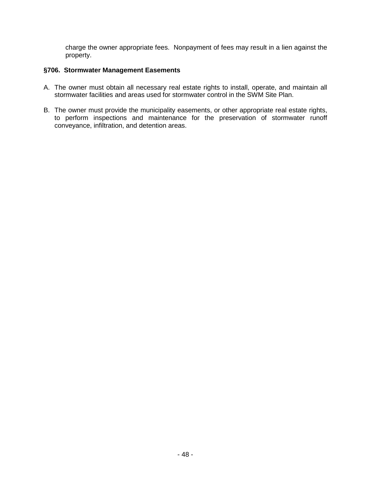charge the owner appropriate fees. Nonpayment of fees may result in a lien against the property.

#### **§706. Stormwater Management Easements**

- A. The owner must obtain all necessary real estate rights to install, operate, and maintain all stormwater facilities and areas used for stormwater control in the SWM Site Plan.
- B. The owner must provide the municipality easements, or other appropriate real estate rights, to perform inspections and maintenance for the preservation of stormwater runoff conveyance, infiltration, and detention areas.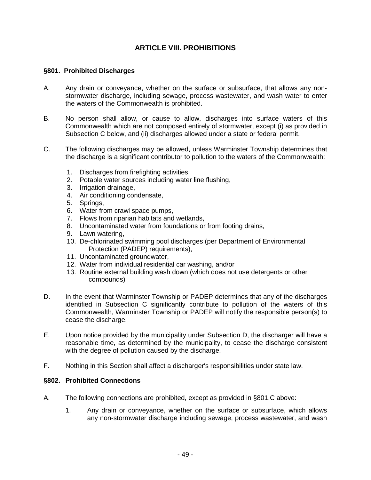## **ARTICLE VIII. PROHIBITIONS**

#### **§801. Prohibited Discharges**

- A. Any drain or conveyance, whether on the surface or subsurface, that allows any nonstormwater discharge, including sewage, process wastewater, and wash water to enter the waters of the Commonwealth is prohibited.
- B. No person shall allow, or cause to allow, discharges into surface waters of this Commonwealth which are not composed entirely of stormwater, except (i) as provided in Subsection C below, and (ii) discharges allowed under a state or federal permit.
- C. The following discharges may be allowed, unless Warminster Township determines that the discharge is a significant contributor to pollution to the waters of the Commonwealth:
	- 1. Discharges from firefighting activities,
	- 2. Potable water sources including water line flushing,
	- 3. Irrigation drainage,
	- 4. Air conditioning condensate,
	- 5. Springs,
	- 6. Water from crawl space pumps,
	- 7. Flows from riparian habitats and wetlands,
	- 8. Uncontaminated water from foundations or from footing drains,
	- 9. Lawn watering,
	- 10. De-chlorinated swimming pool discharges (per Department of Environmental Protection (PADEP) requirements),
	- 11. Uncontaminated groundwater,
	- 12. Water from individual residential car washing, and/or
	- 13. Routine external building wash down (which does not use detergents or other compounds)
- D. In the event that Warminster Township or PADEP determines that any of the discharges identified in Subsection C significantly contribute to pollution of the waters of this Commonwealth, Warminster Township or PADEP will notify the responsible person(s) to cease the discharge.
- E. Upon notice provided by the municipality under Subsection D, the discharger will have a reasonable time, as determined by the municipality, to cease the discharge consistent with the degree of pollution caused by the discharge.
- F. Nothing in this Section shall affect a discharger's responsibilities under state law.

#### **§802. Prohibited Connections**

- A. The following connections are prohibited, except as provided in §801.C above:
	- 1. Any drain or conveyance, whether on the surface or subsurface, which allows any non-stormwater discharge including sewage, process wastewater, and wash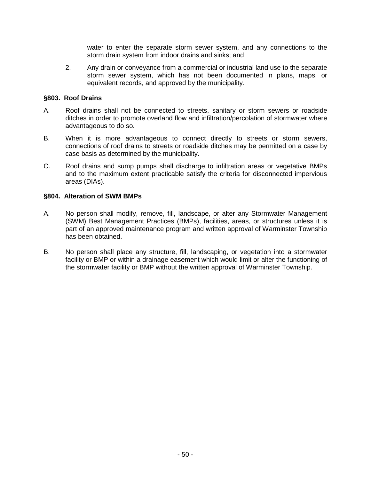water to enter the separate storm sewer system, and any connections to the storm drain system from indoor drains and sinks; and

2. Any drain or conveyance from a commercial or industrial land use to the separate storm sewer system, which has not been documented in plans, maps, or equivalent records, and approved by the municipality.

#### **§803. Roof Drains**

- A. Roof drains shall not be connected to streets, sanitary or storm sewers or roadside ditches in order to promote overland flow and infiltration/percolation of stormwater where advantageous to do so.
- B. When it is more advantageous to connect directly to streets or storm sewers, connections of roof drains to streets or roadside ditches may be permitted on a case by case basis as determined by the municipality.
- C. Roof drains and sump pumps shall discharge to infiltration areas or vegetative BMPs and to the maximum extent practicable satisfy the criteria for disconnected impervious areas (DIAs).

#### **§804. Alteration of SWM BMPs**

- A. No person shall modify, remove, fill, landscape, or alter any Stormwater Management (SWM) Best Management Practices (BMPs), facilities, areas, or structures unless it is part of an approved maintenance program and written approval of Warminster Township has been obtained.
- B. No person shall place any structure, fill, landscaping, or vegetation into a stormwater facility or BMP or within a drainage easement which would limit or alter the functioning of the stormwater facility or BMP without the written approval of Warminster Township.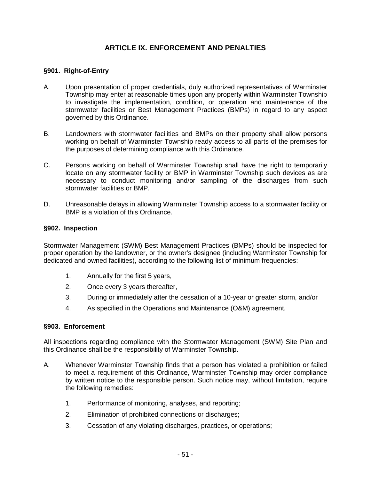## **ARTICLE IX. ENFORCEMENT AND PENALTIES**

#### **§901. Right-of-Entry**

- A. Upon presentation of proper credentials, duly authorized representatives of Warminster Township may enter at reasonable times upon any property within Warminster Township to investigate the implementation, condition, or operation and maintenance of the stormwater facilities or Best Management Practices (BMPs) in regard to any aspect governed by this Ordinance.
- B. Landowners with stormwater facilities and BMPs on their property shall allow persons working on behalf of Warminster Township ready access to all parts of the premises for the purposes of determining compliance with this Ordinance.
- C. Persons working on behalf of Warminster Township shall have the right to temporarily locate on any stormwater facility or BMP in Warminster Township such devices as are necessary to conduct monitoring and/or sampling of the discharges from such stormwater facilities or BMP.
- D. Unreasonable delays in allowing Warminster Township access to a stormwater facility or BMP is a violation of this Ordinance.

#### **§902. Inspection**

Stormwater Management (SWM) Best Management Practices (BMPs) should be inspected for proper operation by the landowner, or the owner's designee (including Warminster Township for dedicated and owned facilities), according to the following list of minimum frequencies:

- 1. Annually for the first 5 years,
- 2. Once every 3 years thereafter,
- 3. During or immediately after the cessation of a 10-year or greater storm, and/or
- 4. As specified in the Operations and Maintenance (O&M) agreement.

#### **§903. Enforcement**

All inspections regarding compliance with the Stormwater Management (SWM) Site Plan and this Ordinance shall be the responsibility of Warminster Township.

- A. Whenever Warminster Township finds that a person has violated a prohibition or failed to meet a requirement of this Ordinance, Warminster Township may order compliance by written notice to the responsible person. Such notice may, without limitation, require the following remedies:
	- 1. Performance of monitoring, analyses, and reporting;
	- 2. Elimination of prohibited connections or discharges;
	- 3. Cessation of any violating discharges, practices, or operations;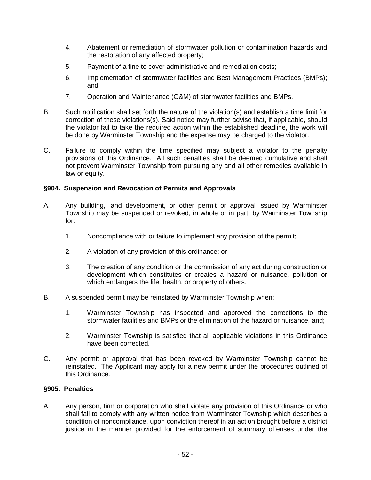- 4. Abatement or remediation of stormwater pollution or contamination hazards and the restoration of any affected property;
- 5. Payment of a fine to cover administrative and remediation costs;
- 6. Implementation of stormwater facilities and Best Management Practices (BMPs); and
- 7. Operation and Maintenance (O&M) of stormwater facilities and BMPs.
- B. Such notification shall set forth the nature of the violation(s) and establish a time limit for correction of these violations(s). Said notice may further advise that, if applicable, should the violator fail to take the required action within the established deadline, the work will be done by Warminster Township and the expense may be charged to the violator.
- C. Failure to comply within the time specified may subject a violator to the penalty provisions of this Ordinance. All such penalties shall be deemed cumulative and shall not prevent Warminster Township from pursuing any and all other remedies available in law or equity.

#### **§904. Suspension and Revocation of Permits and Approvals**

- A. Any building, land development, or other permit or approval issued by Warminster Township may be suspended or revoked, in whole or in part, by Warminster Township for:
	- 1. Noncompliance with or failure to implement any provision of the permit;
	- 2. A violation of any provision of this ordinance; or
	- 3. The creation of any condition or the commission of any act during construction or development which constitutes or creates a hazard or nuisance, pollution or which endangers the life, health, or property of others.
- B. A suspended permit may be reinstated by Warminster Township when:
	- 1. Warminster Township has inspected and approved the corrections to the stormwater facilities and BMPs or the elimination of the hazard or nuisance, and;
	- 2. Warminster Township is satisfied that all applicable violations in this Ordinance have been corrected.
- C. Any permit or approval that has been revoked by Warminster Township cannot be reinstated. The Applicant may apply for a new permit under the procedures outlined of this Ordinance.

#### **§905. Penalties**

A. Any person, firm or corporation who shall violate any provision of this Ordinance or who shall fail to comply with any written notice from Warminster Township which describes a condition of noncompliance, upon conviction thereof in an action brought before a district justice in the manner provided for the enforcement of summary offenses under the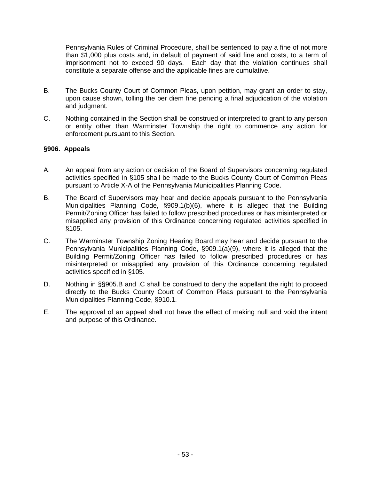Pennsylvania Rules of Criminal Procedure, shall be sentenced to pay a fine of not more than \$1,000 plus costs and, in default of payment of said fine and costs, to a term of imprisonment not to exceed 90 days. Each day that the violation continues shall constitute a separate offense and the applicable fines are cumulative.

- B. The Bucks County Court of Common Pleas, upon petition, may grant an order to stay, upon cause shown, tolling the per diem fine pending a final adjudication of the violation and judgment.
- C. Nothing contained in the Section shall be construed or interpreted to grant to any person or entity other than Warminster Township the right to commence any action for enforcement pursuant to this Section.

#### **§906. Appeals**

- A. An appeal from any action or decision of the Board of Supervisors concerning regulated activities specified in §105 shall be made to the Bucks County Court of Common Pleas pursuant to Article X-A of the Pennsylvania Municipalities Planning Code.
- B. The Board of Supervisors may hear and decide appeals pursuant to the Pennsylvania Municipalities Planning Code, §909.1(b)(6), where it is alleged that the Building Permit/Zoning Officer has failed to follow prescribed procedures or has misinterpreted or misapplied any provision of this Ordinance concerning regulated activities specified in §105.
- C. The Warminster Township Zoning Hearing Board may hear and decide pursuant to the Pennsylvania Municipalities Planning Code, §909.1(a)(9), where it is alleged that the Building Permit/Zoning Officer has failed to follow prescribed procedures or has misinterpreted or misapplied any provision of this Ordinance concerning regulated activities specified in §105.
- D. Nothing in §§905.B and .C shall be construed to deny the appellant the right to proceed directly to the Bucks County Court of Common Pleas pursuant to the Pennsylvania Municipalities Planning Code, §910.1.
- E. The approval of an appeal shall not have the effect of making null and void the intent and purpose of this Ordinance.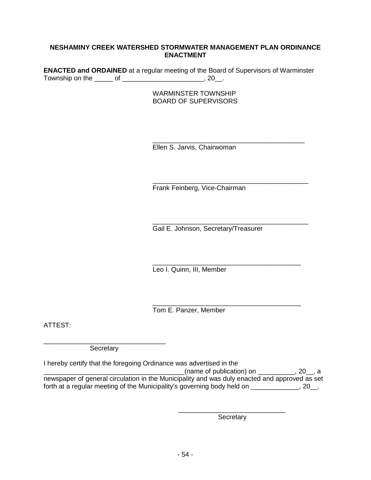#### **NESHAMINY CREEK WATERSHED STORMWATER MANAGEMENT PLAN ORDINANCE ENACTMENT**

**ENACTED and ORDAINED** at a regular meeting of the Board of Supervisors of Warminster Township on the \_\_\_\_\_\_ of \_\_\_\_\_\_\_\_\_\_\_\_\_\_\_\_\_\_\_\_\_\_\_\_, 20\_\_.

 $\frac{1}{\sqrt{2}}$  ,  $\frac{1}{\sqrt{2}}$  ,  $\frac{1}{\sqrt{2}}$  ,  $\frac{1}{\sqrt{2}}$  ,  $\frac{1}{\sqrt{2}}$  ,  $\frac{1}{\sqrt{2}}$  ,  $\frac{1}{\sqrt{2}}$  ,  $\frac{1}{\sqrt{2}}$  ,  $\frac{1}{\sqrt{2}}$  ,  $\frac{1}{\sqrt{2}}$  ,  $\frac{1}{\sqrt{2}}$  ,  $\frac{1}{\sqrt{2}}$  ,  $\frac{1}{\sqrt{2}}$  ,  $\frac{1}{\sqrt{2}}$  ,  $\frac{1}{\sqrt{2}}$ 

 WARMINSTER TOWNSHIP BOARD OF SUPERVISORS

 $\overline{\phantom{a}}$  , and the contract of the contract of the contract of the contract of the contract of the contract of the contract of the contract of the contract of the contract of the contract of the contract of the contrac Ellen S. Jarvis, Chairwoman

Frank Feinberg, Vice-Chairman

 $\overline{\phantom{a}}$  ,  $\overline{\phantom{a}}$  ,  $\overline{\phantom{a}}$  ,  $\overline{\phantom{a}}$  ,  $\overline{\phantom{a}}$  ,  $\overline{\phantom{a}}$  ,  $\overline{\phantom{a}}$  ,  $\overline{\phantom{a}}$  ,  $\overline{\phantom{a}}$  ,  $\overline{\phantom{a}}$  ,  $\overline{\phantom{a}}$  ,  $\overline{\phantom{a}}$  ,  $\overline{\phantom{a}}$  ,  $\overline{\phantom{a}}$  ,  $\overline{\phantom{a}}$  ,  $\overline{\phantom{a}}$ Gail E. Johnson, Secretary/Treasurer

 $\overline{\phantom{a}}$  , and the contract of the contract of the contract of the contract of the contract of the contract of the contract of the contract of the contract of the contract of the contract of the contract of the contrac Leo I. Quinn, III, Member

 $\overline{\phantom{a}}$  , and the contract of the contract of the contract of the contract of the contract of the contract of the contract of the contract of the contract of the contract of the contract of the contract of the contrac Tom E. Panzer, Member

ATTEST:

\_\_\_\_\_\_\_\_\_\_\_\_\_\_\_\_\_\_\_\_\_\_\_\_\_\_\_\_\_\_\_\_\_ **Secretary** 

I hereby certify that the foregoing Ordinance was advertised in the \_\_\_\_\_\_\_\_\_\_\_\_\_\_\_\_\_\_\_\_\_\_\_\_\_\_\_\_\_\_\_\_\_\_\_\_\_\_(name of publication) on \_\_\_\_\_\_\_\_\_\_, 20\_\_, a newspaper of general circulation in the Municipality and was duly enacted and approved as set forth at a regular meeting of the Municipality's governing body held on \_\_\_\_\_\_\_\_\_\_\_\_, 20\_\_.

> $\frac{1}{\sqrt{2\pi}}\left[\frac{1}{\sqrt{2\pi}}\left[\frac{1}{\sqrt{2\pi}}\left(\frac{1}{\sqrt{2\pi}}\right)-\frac{1}{\sqrt{2\pi}}\left(\frac{1}{\sqrt{2\pi}}\right)-\frac{1}{\sqrt{2\pi}}\left(\frac{1}{\sqrt{2\pi}}\right)-\frac{1}{\sqrt{2\pi}}\left(\frac{1}{\sqrt{2\pi}}\right)-\frac{1}{\sqrt{2\pi}}\left(\frac{1}{\sqrt{2\pi}}\right)-\frac{1}{\sqrt{2\pi}}\left(\frac{1}{\sqrt{2\pi}}\right)-\frac{1}{\sqrt{2\pi}}\left(\frac{1$ **Secretary**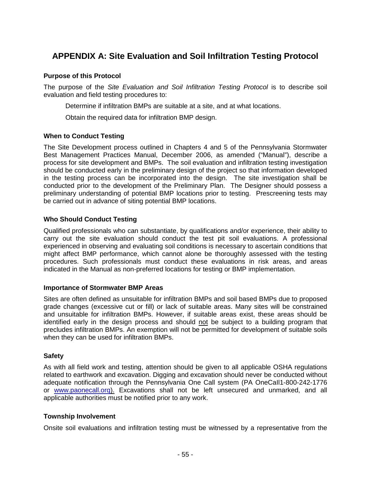# **APPENDIX A: Site Evaluation and Soil Infiltration Testing Protocol**

#### **Purpose of this Protocol**

The purpose of the Site Evaluation and Soil Infiltration Testing Protocol is to describe soil evaluation and field testing procedures to:

Determine if infiltration BMPs are suitable at a site, and at what locations.

Obtain the required data for infiltration BMP design.

#### **When to Conduct Testing**

The Site Development process outlined in Chapters 4 and 5 of the Pennsylvania Stormwater Best Management Practices Manual, December 2006, as amended ("Manual"), describe a process for site development and BMPs. The soil evaluation and infiltration testing investigation should be conducted early in the preliminary design of the project so that information developed in the testing process can be incorporated into the design. The site investigation shall be conducted prior to the development of the Preliminary Plan. The Designer should possess a preliminary understanding of potential BMP locations prior to testing. Prescreening tests may be carried out in advance of siting potential BMP locations.

#### **Who Should Conduct Testing**

Qualified professionals who can substantiate, by qualifications and/or experience, their ability to carry out the site evaluation should conduct the test pit soil evaluations. A professional experienced in observing and evaluating soil conditions is necessary to ascertain conditions that might affect BMP performance, which cannot alone be thoroughly assessed with the testing procedures. Such professionals must conduct these evaluations in risk areas, and areas indicated in the Manual as non-preferred locations for testing or BMP implementation.

#### **Importance of Stormwater BMP Areas**

Sites are often defined as unsuitable for infiltration BMPs and soil based BMPs due to proposed grade changes (excessive cut or fill) or lack of suitable areas. Many sites will be constrained and unsuitable for infiltration BMPs. However, if suitable areas exist, these areas should be identified early in the design process and should not be subject to a building program that precludes infiltration BMPs. An exemption will not be permitted for development of suitable soils when they can be used for infiltration BMPs.

#### **Safety**

As with all field work and testing, attention should be given to all applicable OSHA regulations related to earthwork and excavation. Digging and excavation should never be conducted without adequate notification through the Pennsylvania One Call system (PA OneCaIl1-800-242-1776 or www.paonecall.orq). Excavations shall not be left unsecured and unmarked, and all applicable authorities must be notified prior to any work.

#### **Township Involvement**

Onsite soil evaluations and infiltration testing must be witnessed by a representative from the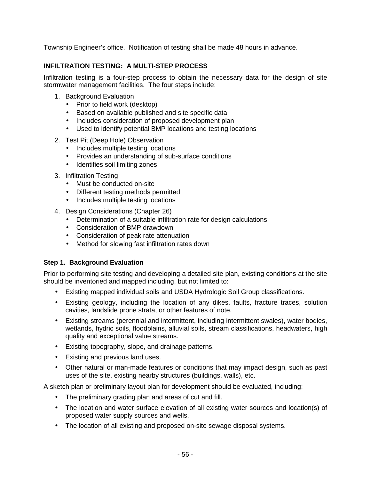Township Engineer's office. Notification of testing shall be made 48 hours in advance.

#### **INFILTRATION TESTING: A MULTI-STEP PROCESS**

Infiltration testing is a four-step process to obtain the necessary data for the design of site stormwater management facilities. The four steps include:

- 1. Background Evaluation
	- Prior to field work (desktop)
	- Based on available published and site specific data
	- Includes consideration of proposed development plan
	- Used to identify potential BMP locations and testing locations
- 2. Test Pit (Deep Hole) Observation
	- Includes multiple testing locations
	- Provides an understanding of sub-surface conditions
	- Identifies soil limiting zones
- 3. Infiltration Testing
	- Must be conducted on-site
	- Different testing methods permitted
	- Includes multiple testing locations
- 4. Design Considerations (Chapter 26)
	- Determination of a suitable infiltration rate for design calculations
	- Consideration of BMP drawdown
	- Consideration of peak rate attenuation
	- Method for slowing fast infiltration rates down

#### **Step 1. Background Evaluation**

Prior to performing site testing and developing a detailed site plan, existing conditions at the site should be inventoried and mapped including, but not limited to:

- Existing mapped individual soils and USDA Hydrologic Soil Group classifications.
- Existing geology, including the location of any dikes, faults, fracture traces, solution cavities, landslide prone strata, or other features of note.
- Existing streams (perennial and intermittent, including intermittent swales), water bodies, wetlands, hydric soils, floodplains, alluvial soils, stream classifications, headwaters, high quality and exceptional value streams.
- Existing topography, slope, and drainage patterns.
- Existing and previous land uses.
- Other natural or man-made features or conditions that may impact design, such as past uses of the site, existing nearby structures (buildings, walls), etc.

A sketch plan or preliminary layout plan for development should be evaluated, including:

- The preliminary grading plan and areas of cut and fill.
- The location and water surface elevation of all existing water sources and location(s) of proposed water supply sources and wells.
- The location of all existing and proposed on-site sewage disposal systems.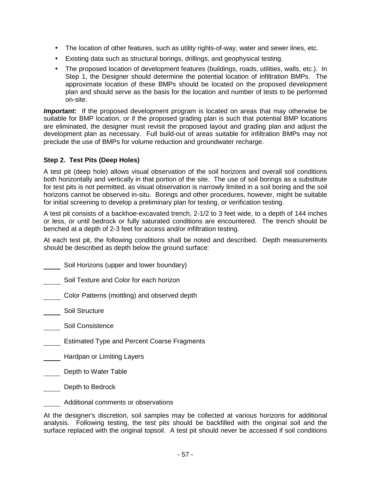- The location of other features, such as utility rights-of-way, water and sewer lines, etc.
- Existing data such as structural borings, drillings, and geophysical testing.
- The proposed location of development features (buildings, roads, utilities, walls, etc.). In Step 1, the Designer should determine the potential location of infiltration BMPs. The approximate location of these BMPs should be located on the proposed development plan and should serve as the basis for the location and number of tests to be performed on-site.

**Important:** If the proposed development program is located on areas that may otherwise be suitable for BMP location, or if the proposed grading plan is such that potential BMP locations are eliminated, the designer must revisit the proposed layout and grading plan and adjust the development plan as necessary. Full build-out of areas suitable for infiltration BMPs may not preclude the use of BMPs for volume reduction and groundwater recharge.

#### **Step 2. Test Pits (Deep Holes)**

A test pit (deep hole) allows visual observation of the soil horizons and overall soil conditions both horizontally and vertically in that portion of the site. The use of soil borings as a substitute for test pits is not permitted, as visual observation is narrowly limited in a soil boring and the soil horizons cannot be observed in-situ. Borings and other procedures, however, might be suitable for initial screening to develop a preliminary plan for testing, or verification testing.

A test pit consists of a backhoe-excavated trench, 2-1/2 to 3 feet wide, to a depth of 144 inches or less, or until bedrock or fully saturated conditions are encountered. The trench should be benched at a depth of 2-3 feet for access and/or infiltration testing.

At each test pit, the following conditions shall be noted and described. Depth measurements should be described as depth below the ground surface:

- Soil Horizons (upper and lower boundary)
- Soil Texture and Color for each horizon
- Color Patterns (mottling) and observed depth
- Soil Structure
- Soil Consistence
- Estimated Type and Percent Coarse Fragments
- Hardpan or Limiting Layers
- Depth to Water Table
- Depth to Bedrock

Additional comments or observations

At the designer's discretion, soil samples may be collected at various horizons for additional analysis. Following testing, the test pits should be backfilled with the original soil and the surface replaced with the original topsoil. A test pit should never be accessed if soil conditions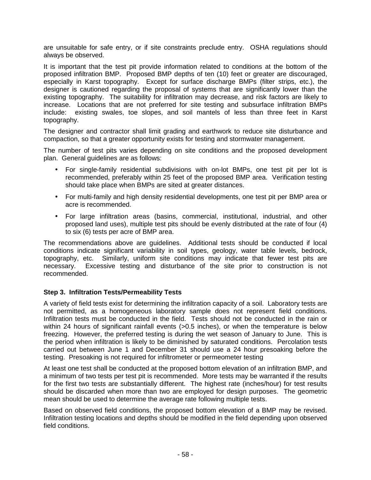are unsuitable for safe entry, or if site constraints preclude entry. OSHA regulations should always be observed.

It is important that the test pit provide information related to conditions at the bottom of the proposed infiltration BMP. Proposed BMP depths of ten (10) feet or greater are discouraged, especially in Karst topography. Except for surface discharge BMPs (filter strips, etc.), the designer is cautioned regarding the proposal of systems that are significantly lower than the existing topography. The suitability for infiltration may decrease, and risk factors are likely to increase. Locations that are not preferred for site testing and subsurface infiltration BMPs include: existing swales, toe slopes, and soil mantels of less than three feet in Karst topography.

The designer and contractor shall limit grading and earthwork to reduce site disturbance and compaction, so that a greater opportunity exists for testing and stormwater management.

The number of test pits varies depending on site conditions and the proposed development plan. General guidelines are as follows:

- For single-family residential subdivisions with on-lot BMPs, one test pit per lot is recommended, preferably within 25 feet of the proposed BMP area. Verification testing should take place when BMPs are sited at greater distances.
- For multi-family and high density residential developments, one test pit per BMP area or acre is recommended.
- For large infiltration areas (basins, commercial, institutional, industrial, and other proposed land uses), multiple test pits should be evenly distributed at the rate of four (4) to six (6) tests per acre of BMP area.

The recommendations above are guidelines. Additional tests should be conducted if local conditions indicate significant variability in soil types, geology, water table levels, bedrock, topography, etc. Similarly, uniform site conditions may indicate that fewer test pits are necessary. Excessive testing and disturbance of the site prior to construction is not recommended.

#### **Step 3. Infiltration Tests/Permeability Tests**

A variety of field tests exist for determining the infiltration capacity of a soil. Laboratory tests are not permitted, as a homogeneous laboratory sample does not represent field conditions. Infiltration tests must be conducted in the field. Tests should not be conducted in the rain or within 24 hours of significant rainfall events (>0.5 inches), or when the temperature is below freezing. However, the preferred testing is during the wet season of January to June. This is the period when infiltration is likely to be diminished by saturated conditions. Percolation tests carried out between June 1 and December 31 should use a 24 hour presoaking before the testing. Presoaking is not required for infiltrometer or permeometer testing

At least one test shall be conducted at the proposed bottom elevation of an infiltration BMP, and a minimum of two tests per test pit is recommended. More tests may be warranted if the results for the first two tests are substantially different. The highest rate (inches/hour) for test results should be discarded when more than two are employed for design purposes. The geometric mean should be used to determine the average rate following multiple tests.

Based on observed field conditions, the proposed bottom elevation of a BMP may be revised. Infiltration testing locations and depths should be modified in the field depending upon observed field conditions.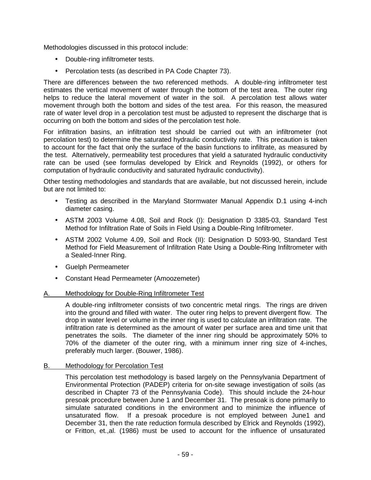Methodologies discussed in this protocol include:

- Double-ring infiltrometer tests.
- Percolation tests (as described in PA Code Chapter 73).

There are differences between the two referenced methods. A double-ring infiltrometer test estimates the vertical movement of water through the bottom of the test area. The outer ring helps to reduce the lateral movement of water in the soil. A percolation test allows water movement through both the bottom and sides of the test area. For this reason, the measured rate of water level drop in a percolation test must be adjusted to represent the discharge that is occurring on both the bottom and sides of the percolation test hole.

For infiltration basins, an infiltration test should be carried out with an infiltrometer (not percolation test) to determine the saturated hydraulic conductivity rate. This precaution is taken to account for the fact that only the surface of the basin functions to infiltrate, as measured by the test. Alternatively, permeability test procedures that yield a saturated hydraulic conductivity rate can be used (see formulas developed by Elrick and Reynolds (1992), or others for computation of hydraulic conductivity and saturated hydraulic conductivity).

Other testing methodologies and standards that are available, but not discussed herein, include but are not limited to:

- Testing as described in the Maryland Stormwater Manual Appendix D.1 using 4-inch diameter casing.
- ASTM 2003 Volume 4.08, Soil and Rock (I): Designation D 3385-03, Standard Test Method for Infiltration Rate of Soils in Field Using a Double-Ring Infiltrometer.
- ASTM 2002 Volume 4.09, Soil and Rock (II): Designation D 5093-90, Standard Test Method for Field Measurement of Infiltration Rate Using a Double-Ring Infiltrometer with a Sealed-Inner Ring.
- Guelph Permeameter
- Constant Head Permeameter (Amoozemeter)

#### Methodology for Double-Ring Infiltrometer Test

A double-ring infiltrometer consists of two concentric metal rings. The rings are driven into the ground and filled with water. The outer ring helps to prevent divergent flow. The drop in water level or volume in the inner ring is used to calculate an infiltration rate. The infiltration rate is determined as the amount of water per surface area and time unit that penetrates the soils. The diameter of the inner ring should be approximately 50% to 70% of the diameter of the outer ring, with a minimum inner ring size of 4-inches, preferably much larger. (Bouwer, 1986).

#### B. Methodology for Percolation Test

This percolation test methodology is based largely on the Pennsylvania Department of Environmental Protection (PADEP) criteria for on-site sewage investigation of soils (as described in Chapter 73 of the Pennsylvania Code). This should include the 24-hour presoak procedure between June 1 and December 31. The presoak is done primarily to simulate saturated conditions in the environment and to minimize the influence of unsaturated flow. If a presoak procedure is not employed between June1 and December 31, then the rate reduction formula described by Elrick and Reynolds (1992), or Fritton, et.,al. (1986) must be used to account for the influence of unsaturated